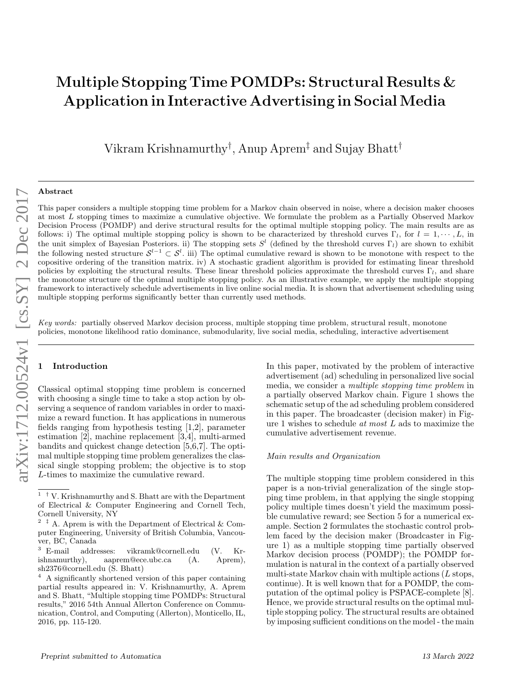# Multiple Stopping Time POMDPs: Structural Results & Application in Interactive Advertising in Social Media

 $\rm{Vikram~Krishnamurthy^{\dagger}, Anup~Aperem^{\ddagger}~and~Sujay~Bhatt^{\dagger}}$ 

This paper considers a multiple stopping time problem for a Markov chain observed in noise, where a decision maker chooses at most L stopping times to maximize a cumulative objective. We formulate the problem as a Partially Observed Markov Decision Process (POMDP) and derive structural results for the optimal multiple stopping policy. The main results are as follows: i) The optimal multiple stopping policy is shown to be characterized by threshold curves  $\Gamma_l$ , for  $l = 1, \dots, L$ , in the unit simplex of Bayesian Posteriors. ii) The stopping sets  $S^l$  (defined by the threshold curves  $\Gamma_l$ ) are shown to exhibit the following nested structure  $S^{l-1} \subset S^l$ . iii) The optimal cumulative reward is shown to be monotone with respect to the copositive ordering of the transition matrix. iv) A stochastic gradient algorithm is provided for estimating linear threshold policies by exploiting the structural results. These linear threshold policies approximate the threshold curves  $\Gamma_l$ , and share the monotone structure of the optimal multiple stopping policy. As an illustrative example, we apply the multiple stopping framework to interactively schedule advertisements in live online social media. It is shown that advertisement scheduling using multiple stopping performs significantly better than currently used methods.

Key words: partially observed Markov decision process, multiple stopping time problem, structural result, monotone policies, monotone likelihood ratio dominance, submodularity, live social media, scheduling, interactive advertisement

#### **Introduction**

Classical optimal stopping time problem is concerned with choosing a single time to take a stop action by observing a sequence of random variables in order to maximize a reward function. It has applications in numerous fields ranging from hypothesis testing [1,2], parameter estimation [2], machine replacement [3,4], multi-armed bandits and quickest change detection [5,6,7]. The optimal multiple stopping time problem generalizes the classical single stopping problem; the objective is to stop L-times to maximize the cumulative reward.

In this paper, motivated by the problem of interactive advertisement (ad) scheduling in personalized live social media, we consider a multiple stopping time problem in a partially observed Markov chain. Figure 1 shows the schematic setup of the ad scheduling problem considered in this paper. The broadcaster (decision maker) in Figure 1 wishes to schedule at most L ads to maximize the cumulative advertisement revenue.

#### Main results and Organization

The multiple stopping time problem considered in this paper is a non-trivial generalization of the single stopping time problem, in that applying the single stopping policy multiple times doesn't yield the maximum possible cumulative reward; see Section 5 for a numerical example. Section 2 formulates the stochastic control problem faced by the decision maker (Broadcaster in Figure 1) as a multiple stopping time partially observed Markov decision process (POMDP); the POMDP formulation is natural in the context of a partially observed multi-state Markov chain with multiple actions  $(L \text{ stops},$ continue). It is well known that for a POMDP, the computation of the optimal policy is PSPACE-complete [8]. Hence, we provide structural results on the optimal multiple stopping policy. The structural results are obtained by imposing sufficient conditions on the model - the main

 $^{\rm 1~\pm~V.}$  Krishnamurthy and S. Bhatt are with the Department of Electrical & Computer Engineering and Cornell Tech, Cornell University, NY

 $^2$   $\,^\ddag$  A. Aprem is with the Department of Electrical & Computer Engineering, University of British Columbia, Vancouver, BC, Canada

<sup>3</sup> E-mail addresses: vikramk@cornell.edu (V. Krishnamurthy), aaprem@ece.ubc.ca (A. Aprem), sh2376@cornell.edu (S. Bhatt)

<sup>4</sup> A significantly shortened version of this paper containing partial results appeared in: V. Krishnamurthy, A. Aprem and S. Bhatt, "Multiple stopping time POMDPs: Structural results," 2016 54th Annual Allerton Conference on Communication, Control, and Computing (Allerton), Monticello, IL, 2016, pp. 115-120.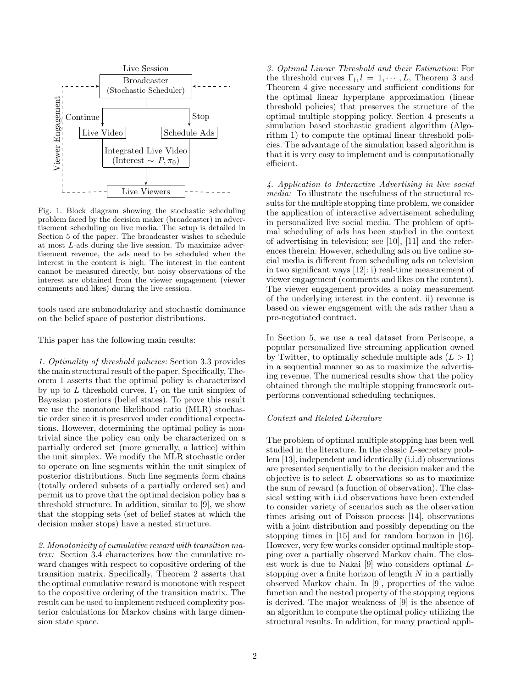

Fig. 1. Block diagram showing the stochastic scheduling problem faced by the decision maker (broadcaster) in advertisement scheduling on live media. The setup is detailed in Section 5 of the paper. The broadcaster wishes to schedule at most L-ads during the live session. To maximize advertisement revenue, the ads need to be scheduled when the interest in the content is high. The interest in the content cannot be measured directly, but noisy observations of the interest are obtained from the viewer engagement (viewer comments and likes) during the live session.

tools used are submodularity and stochastic dominance on the belief space of posterior distributions.

This paper has the following main results:

1. Optimality of threshold policies: Section 3.3 provides the main structural result of the paper. Specifically, Theorem 1 asserts that the optimal policy is characterized by up to L threshold curves,  $\Gamma_l$  on the unit simplex of Bayesian posteriors (belief states). To prove this result we use the monotone likelihood ratio (MLR) stochastic order since it is preserved under conditional expectations. However, determining the optimal policy is nontrivial since the policy can only be characterized on a partially ordered set (more generally, a lattice) within the unit simplex. We modify the MLR stochastic order to operate on line segments within the unit simplex of posterior distributions. Such line segments form chains (totally ordered subsets of a partially ordered set) and permit us to prove that the optimal decision policy has a threshold structure. In addition, similar to [9], we show that the stopping sets (set of belief states at which the decision maker stops) have a nested structure.

2. Monotonicity of cumulative reward with transition matrix: Section 3.4 characterizes how the cumulative reward changes with respect to copositive ordering of the transition matrix. Specifically, Theorem 2 asserts that the optimal cumulative reward is monotone with respect to the copositive ordering of the transition matrix. The result can be used to implement reduced complexity posterior calculations for Markov chains with large dimension state space.

3. Optimal Linear Threshold and their Estimation: For the threshold curves  $\Gamma_l, l = 1, \cdots, L$ , Theorem 3 and Theorem 4 give necessary and sufficient conditions for the optimal linear hyperplane approximation (linear threshold policies) that preserves the structure of the optimal multiple stopping policy. Section 4 presents a simulation based stochastic gradient algorithm (Algorithm 1) to compute the optimal linear threshold policies. The advantage of the simulation based algorithm is that it is very easy to implement and is computationally efficient.

4. Application to Interactive Advertising in live social media: To illustrate the usefulness of the structural results for the multiple stopping time problem, we consider the application of interactive advertisement scheduling in personalized live social media. The problem of optimal scheduling of ads has been studied in the context of advertising in television; see [10], [11] and the references therein. However, scheduling ads on live online social media is different from scheduling ads on television in two significant ways [12]: i) real-time measurement of viewer engagement (comments and likes on the content). The viewer engagement provides a noisy measurement of the underlying interest in the content. ii) revenue is based on viewer engagement with the ads rather than a pre-negotiated contract.

In Section 5, we use a real dataset from Periscope, a popular personalized live streaming application owned by Twitter, to optimally schedule multiple ads  $(L > 1)$ in a sequential manner so as to maximize the advertising revenue. The numerical results show that the policy obtained through the multiple stopping framework outperforms conventional scheduling techniques.

## Context and Related Literature

The problem of optimal multiple stopping has been well studied in the literature. In the classic L-secretary problem [13], independent and identically (i.i.d) observations are presented sequentially to the decision maker and the objective is to select  $L$  observations so as to maximize the sum of reward (a function of observation). The classical setting with i.i.d observations have been extended to consider variety of scenarios such as the observation times arising out of Poisson process [14], observations with a joint distribution and possibly depending on the stopping times in [15] and for random horizon in [16]. However, very few works consider optimal multiple stopping over a partially observed Markov chain. The closest work is due to Nakai [9] who considers optimal Lstopping over a finite horizon of length  $N$  in a partially observed Markov chain. In [9], properties of the value function and the nested property of the stopping regions is derived. The major weakness of [9] is the absence of an algorithm to compute the optimal policy utilizing the structural results. In addition, for many practical appli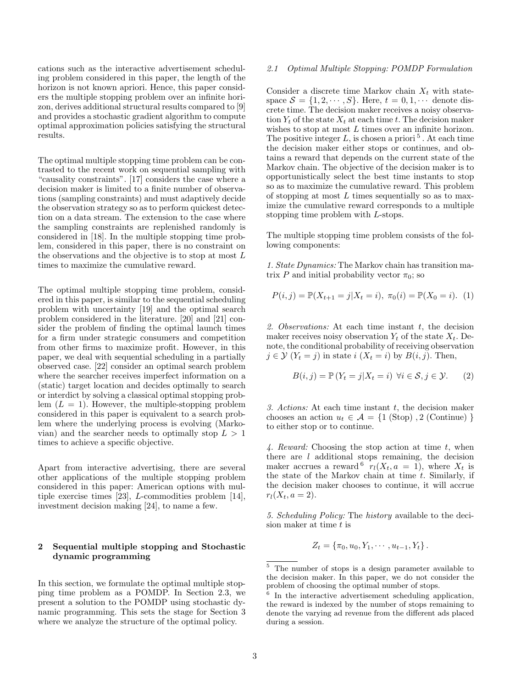cations such as the interactive advertisement scheduling problem considered in this paper, the length of the horizon is not known apriori. Hence, this paper considers the multiple stopping problem over an infinite horizon, derives additional structural results compared to [9] and provides a stochastic gradient algorithm to compute optimal approximation policies satisfying the structural results.

The optimal multiple stopping time problem can be contrasted to the recent work on sequential sampling with "causality constraints". [17] considers the case where a decision maker is limited to a finite number of observations (sampling constraints) and must adaptively decide the observation strategy so as to perform quickest detection on a data stream. The extension to the case where the sampling constraints are replenished randomly is considered in [18]. In the multiple stopping time problem, considered in this paper, there is no constraint on the observations and the objective is to stop at most  $L$ times to maximize the cumulative reward.

The optimal multiple stopping time problem, considered in this paper, is similar to the sequential scheduling problem with uncertainty [19] and the optimal search problem considered in the literature. [20] and [21] consider the problem of finding the optimal launch times for a firm under strategic consumers and competition from other firms to maximize profit. However, in this paper, we deal with sequential scheduling in a partially observed case. [22] consider an optimal search problem where the searcher receives imperfect information on a (static) target location and decides optimally to search or interdict by solving a classical optimal stopping problem  $(L = 1)$ . However, the multiple-stopping problem considered in this paper is equivalent to a search problem where the underlying process is evolving (Markovian) and the searcher needs to optimally stop  $L > 1$ times to achieve a specific objective.

Apart from interactive advertising, there are several other applications of the multiple stopping problem considered in this paper: American options with multiple exercise times [23], L-commodities problem [14], investment decision making [24], to name a few.

## 2 Sequential multiple stopping and Stochastic dynamic programming

In this section, we formulate the optimal multiple stopping time problem as a POMDP. In Section 2.3, we present a solution to the POMDP using stochastic dynamic programming. This sets the stage for Section 3 where we analyze the structure of the optimal policy.

#### 2.1 Optimal Multiple Stopping: POMDP Formulation

Consider a discrete time Markov chain  $X_t$  with statespace  $S = \{1, 2, \dots, S\}$ . Here,  $t = 0, 1, \dots$  denote discrete time. The decision maker receives a noisy observation  $Y_t$  of the state  $X_t$  at each time t. The decision maker wishes to stop at most  $L$  times over an infinite horizon. The positive integer  $L$ , is chosen a priori<sup>[5](#page-2-0)</sup>. At each time the decision maker either stops or continues, and obtains a reward that depends on the current state of the Markov chain. The objective of the decision maker is to opportunistically select the best time instants to stop so as to maximize the cumulative reward. This problem of stopping at most  $L$  times sequentially so as to maximize the cumulative reward corresponds to a multiple stopping time problem with L-stops.

The multiple stopping time problem consists of the following components:

1. State Dynamics: The Markov chain has transition matrix P and initial probability vector  $\pi_0$ ; so

$$
P(i,j) = \mathbb{P}(X_{t+1} = j | X_t = i), \ \pi_0(i) = \mathbb{P}(X_0 = i). \tag{1}
$$

2. Observations: At each time instant  $t$ , the decision maker receives noisy observation  $Y_t$  of the state  $X_t$ . Denote, the conditional probability of receiving observation  $j \in \mathcal{Y}$   $(Y_t = j)$  in state  $i$   $(X_t = i)$  by  $B(i, j)$ . Then,

$$
B(i,j) = \mathbb{P}\left(Y_t = j | X_t = i\right) \,\forall i \in \mathcal{S}, j \in \mathcal{Y}.\tag{2}
$$

3. Actions: At each time instant  $t$ , the decision maker chooses an action  $u_t \in \mathcal{A} = \{1 \text{ (Stop)}, 2 \text{ (Continue)} \}$ to either stop or to continue.

4. Reward: Choosing the stop action at time  $t$ , when there are  $l$  additional stops remaining, the decision maker accrues a reward  $r_l(X_t, a = 1)$ , where  $X_t$  is the state of the Markov chain at time  $t$ . Similarly, if the decision maker chooses to continue, it will accrue  $r_l(X_t, a = 2)$ .

5. Scheduling Policy: The history available to the decision maker at time  $t$  is

$$
Z_t = \{\pi_0, u_0, Y_1, \cdots, u_{t-1}, Y_t\}.
$$

<span id="page-2-0"></span><sup>5</sup> The number of stops is a design parameter available to the decision maker. In this paper, we do not consider the problem of choosing the optimal number of stops.

<span id="page-2-1"></span><sup>6</sup> In the interactive advertisement scheduling application, the reward is indexed by the number of stops remaining to denote the varying ad revenue from the different ads placed during a session.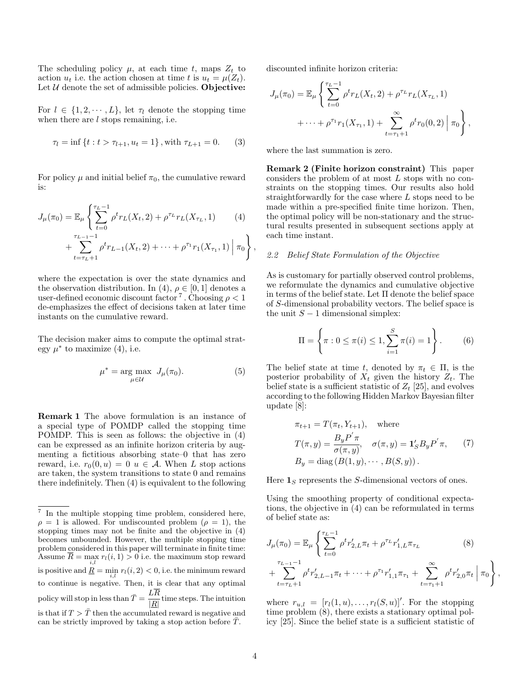The scheduling policy  $\mu$ , at each time t, maps  $Z_t$  to action  $u_t$  i.e. the action chosen at time t is  $u_t = \mu(Z_t)$ . Let  $U$  denote the set of admissible policies. Objective:

For  $l \in \{1, 2, \dots, L\}$ , let  $\tau_l$  denote the stopping time when there are  $l$  stops remaining, i.e.

$$
\tau_l = \inf \{ t : t > \tau_{l+1}, u_t = 1 \},\text{ with } \tau_{L+1} = 0. \tag{3}
$$

For policy  $\mu$  and initial belief  $\pi_0$ , the cumulative reward is:

$$
J_{\mu}(\pi_0) = \mathbb{E}_{\mu} \left\{ \sum_{t=0}^{\tau_L - 1} \rho^t r_L(X_t, 2) + \rho^{\tau_L} r_L(X_{\tau_L}, 1) \right\} \qquad (4)
$$
  
+ 
$$
\sum_{t=\tau_L + 1}^{\tau_{L-1} - 1} \rho^t r_{L-1}(X_t, 2) + \dots + \rho^{\tau_1} r_1(X_{\tau_1}, 1) \middle| \pi_0 \right\},
$$

where the expectation is over the state dynamics and the observation distribution. In (4),  $\rho \in [0, 1]$  denotes a user-defined economic discount factor<sup>[7](#page-3-0)</sup>. Choosing  $\rho < 1$ de-emphasizes the effect of decisions taken at later time instants on the cumulative reward.

The decision maker aims to compute the optimal strategy  $\mu^*$  to maximize (4), i.e.

$$
\mu^* = \underset{\mu \in \mathcal{U}}{\arg \max} \ J_{\mu}(\pi_0). \tag{5}
$$

Remark 1 The above formulation is an instance of a special type of POMDP called the stopping time POMDP. This is seen as follows: the objective in (4) can be expressed as an infinite horizon criteria by augmenting a fictitious absorbing state–0 that has zero reward, i.e.  $r_0(0, u) = 0$   $u \in A$ . When L stop actions are taken, the system transitions to state 0 and remains there indefinitely. Then (4) is equivalent to the following discounted infinite horizon criteria:

$$
J_{\mu}(\pi_0) = \mathbb{E}_{\mu} \left\{ \sum_{t=0}^{\tau_L - 1} \rho^t r_L(X_t, 2) + \rho^{\tau_L} r_L(X_{\tau_L}, 1) + \cdots + \rho^{\tau_1} r_1(X_{\tau_1}, 1) + \sum_{t=\tau_1+1}^{\infty} \rho^t r_0(0, 2) \middle| \pi_0 \right\},
$$

where the last summation is zero.

Remark 2 (Finite horizon constraint) This paper considers the problem of at most L stops with no constraints on the stopping times. Our results also hold straightforwardly for the case where L stops need to be made within a pre-specified finite time horizon. Then, the optimal policy will be non-stationary and the structural results presented in subsequent sections apply at each time instant.

## 2.2 Belief State Formulation of the Objective

As is customary for partially observed control problems, we reformulate the dynamics and cumulative objective in terms of the belief state. Let Π denote the belief space of S-dimensional probability vectors. The belief space is the unit  $S - 1$  dimensional simplex:

$$
\Pi = \left\{ \pi : 0 \le \pi(i) \le 1, \sum_{i=1}^{S} \pi(i) = 1 \right\}.
$$
 (6)

The belief state at time t, denoted by  $\pi_t \in \Pi$ , is the posterior probability of  $X_t$  given the history  $Z_t$ . The belief state is a sufficient statistic of  $Z_t$  [25], and evolves according to the following Hidden Markov Bayesian filter update [8]:

$$
\pi_{t+1} = T(\pi_t, Y_{t+1}), \quad \text{where}
$$
  
\n
$$
T(\pi, y) = \frac{B_y P' \pi}{\sigma(\pi, y)}, \quad \sigma(\pi, y) = \mathbf{1}'_S B_y P' \pi, \qquad (7)
$$
  
\n
$$
B_y = \text{diag}(B(1, y), \cdots, B(S, y)).
$$

Here  $\mathbf{1}_S$  represents the S-dimensional vectors of ones.

Using the smoothing property of conditional expectations, the objective in (4) can be reformulated in terms of belief state as:

$$
J_{\mu}(\pi_0) = \mathbb{E}_{\mu} \left\{ \sum_{t=0}^{\tau_L - 1} \rho^t r'_{2,L} \pi_t + \rho^{\tau_L} r'_{1,L} \pi_{\tau_L} \right\}
$$
(8)  
+ 
$$
\sum_{t=\tau_L + 1}^{\tau_{L-1} - 1} \rho^t r'_{2,L-1} \pi_t + \dots + \rho^{\tau_1} r'_{1,1} \pi_{\tau_1} + \sum_{t=\tau_1 + 1}^{\infty} \rho^t r'_{2,0} \pi_t \middle| \pi_0 \right\}
$$

,

where  $r_{u,l} = [r_l(1, u), \ldots, r_l(S, u)]'$ . For the stopping time problem (8), there exists a stationary optimal policy [25]. Since the belief state is a sufficient statistic of

<span id="page-3-0"></span><sup>7</sup> In the multiple stopping time problem, considered here,  $\rho = 1$  is allowed. For undiscounted problem  $(\rho = 1)$ , the stopping times may not be finite and the objective in (4) becomes unbounded. However, the multiple stopping time problem considered in this paper will terminate in finite time: Assume  $R = \max_{i,l} r_l(i, 1) > 0$  i.e. the maximum stop reward is positive and  $\underline{R} = \min_{i,l} \, r_l(i,2) < 0,$  i.e. the minimum reward to continue is negative. Then, it is clear that any optimal policy will stop in less than  $\bar{T} = \frac{LR}{L}$  $\frac{dE}{|R|}$  time steps. The intuition is that if  $T > \overline{T}$  then the accumulated reward is negative and can be strictly improved by taking a stop action before  $\overline{T}$ .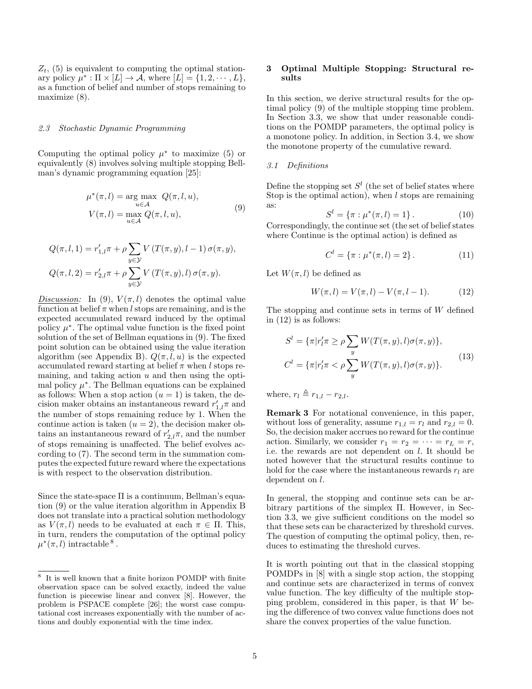$Z_t$ , (5) is equivalent to computing the optimal stationary policy  $\mu^*: \Pi \times [L] \to \mathcal{A}$ , where  $[L] = \{1, 2, \cdots, L\},\$ as a function of belief and number of stops remaining to maximize (8).

## 2.3 Stochastic Dynamic Programming

Computing the optimal policy  $\mu^*$  to maximize (5) or equivalently (8) involves solving multiple stopping Bellman's dynamic programming equation [25]:

$$
\mu^*(\pi, l) = \underset{u \in \mathcal{A}}{\arg \max} Q(\pi, l, u),
$$
  
\n
$$
V(\pi, l) = \underset{u \in \mathcal{A}}{\max} Q(\pi, l, u),
$$
\n(9)

$$
Q(\pi, l, 1) = r'_{1,l}\pi + \rho \sum_{y \in \mathcal{Y}} V(T(\pi, y), l - 1) \sigma(\pi, y),
$$
  

$$
Q(\pi, l, 2) = r'_{2,l}\pi + \rho \sum_{y \in \mathcal{Y}} V(T(\pi, y), l) \sigma(\pi, y).
$$

Discussion: In (9),  $V(\pi, l)$  denotes the optimal value function at belief  $\pi$  when l stops are remaining, and is the expected accumulated reward induced by the optimal policy  $\mu^*$ . The optimal value function is the fixed point solution of the set of Bellman equations in (9). The fixed point solution can be obtained using the value iteration algorithm (see Appendix B).  $Q(\pi, l, u)$  is the expected accumulated reward starting at belief  $\pi$  when l stops remaining, and taking action  $u$  and then using the optimal policy  $\mu^*$ . The Bellman equations can be explained as follows: When a stop action  $(u = 1)$  is taken, the decision maker obtains an instantaneous reward  $r_{1,l}'\pi$  and the number of stops remaining reduce by 1. When the continue action is taken  $(u = 2)$ , the decision maker obtains an instantaneous reward of  $r'_{2,l}\pi$ , and the number of stops remaining is unaffected. The belief evolves according to (7). The second term in the summation computes the expected future reward where the expectations is with respect to the observation distribution.

Since the state-space Π is a continuum, Bellman's equation (9) or the value iteration algorithm in Appendix B does not translate into a practical solution methodology as  $V(\pi, l)$  needs to be evaluated at each  $\pi \in \Pi$ . This, in turn, renders the computation of the optimal policy  $\mu^*(\pi, l)$  intractable <sup>[8](#page-4-0)</sup>.

## 3 Optimal Multiple Stopping: Structural results

In this section, we derive structural results for the optimal policy (9) of the multiple stopping time problem. In Section 3.3, we show that under reasonable conditions on the POMDP parameters, the optimal policy is a monotone policy. In addition, in Section 3.4, we show the monotone property of the cumulative reward.

#### 3.1 Definitions

Define the stopping set  $S<sup>l</sup>$  (the set of belief states where Stop is the optimal action), when  $l$  stops are remaining as:

$$
S^{l} = \{\pi : \mu^*(\pi, l) = 1\}.
$$
 (10)

Correspondingly, the continue set (the set of belief states where Continue is the optimal action) is defined as

$$
C^l = \{ \pi : \mu^*(\pi, l) = 2 \}.
$$
 (11)

Let  $W(\pi, l)$  be defined as

$$
W(\pi, l) = V(\pi, l) - V(\pi, l - 1).
$$
 (12)

The stopping and continue sets in terms of  $W$  defined in (12) is as follows:

$$
S^{l} = \{\pi | r'_{l}\pi \ge \rho \sum_{y} W(T(\pi, y), l)\sigma(\pi, y)\},
$$
  

$$
C^{l} = \{\pi | r'_{l}\pi < \rho \sum_{y} W(T(\pi, y), l)\sigma(\pi, y)\}.
$$
 (13)

where,  $r_l \triangleq r_{1,l} - r_{2,l}$ .

Remark 3 For notational convenience, in this paper, without loss of generality, assume  $r_{1,l} = r_l$  and  $r_{2,l} = 0$ . So, the decision maker accrues no reward for the continue action. Similarly, we consider  $r_1 = r_2 = \cdots = r_L = r$ , i.e. the rewards are not dependent on l. It should be noted however that the structural results continue to hold for the case where the instantaneous rewards  $r_l$  are dependent on l.

In general, the stopping and continue sets can be arbitrary partitions of the simplex Π. However, in Section 3.3, we give sufficient conditions on the model so that these sets can be characterized by threshold curves. The question of computing the optimal policy, then, reduces to estimating the threshold curves.

It is worth pointing out that in the classical stopping POMDPs in [8] with a single stop action, the stopping and continue sets are characterized in terms of convex value function. The key difficulty of the multiple stopping problem, considered in this paper, is that W being the difference of two convex value functions does not share the convex properties of the value function.

<span id="page-4-0"></span><sup>8</sup> It is well known that a finite horizon POMDP with finite observation space can be solved exactly, indeed the value function is piecewise linear and convex [8]. However, the problem is PSPACE complete [26]; the worst case computational cost increases exponentially with the number of actions and doubly exponential with the time index.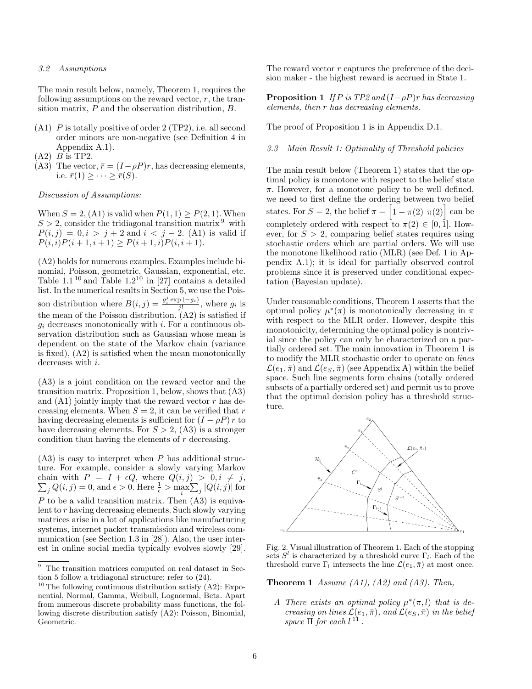#### 3.2 Assumptions

The main result below, namely, Theorem 1, requires the following assumptions on the reward vector,  $r$ , the transition matrix, P and the observation distribution, B.

- $(A1)$  P is totally positive of order 2 (TP2), i.e. all second order minors are non-negative (see Definition 4 in Appendix A.1).
- $(A2)$  B is TP2.
- (A3) The vector,  $\bar{r} = (I \rho P)r$ , has decreasing elements, i.e.  $\overline{r}(1) \geq \cdots \geq \overline{r}(S)$ .

Discussion of Assumptions:

When  $S = 2$ , (A1) is valid when  $P(1, 1) \geq P(2, 1)$ . When  $S > 2$ , consider the tridiagonal transition matrix <sup>[9](#page-5-0)</sup> with  $P(i, j) = 0, i > j + 2$  and  $i < j - 2$ . (A1) is valid if  $P(i, i)P(i + 1, i + 1) \geq P(i + 1, i)P(i, i + 1).$ 

(A2) holds for numerous examples. Examples include binomial, Poisson, geometric, Gaussian, exponential, etc. Table 1.1<sup>[10](#page-5-1)</sup> and Table 1.2<sup>10</sup> in [27] contains a detailed list. In the numerical results in Section 5, we use the Poisson distribution where  $B(i, j) = \frac{g_i^j \exp(-g_i)}{i!}$  $\frac{\beta(-g_i)}{j!}$ , where  $g_i$  is the mean of the Poisson distribution. (A2) is satisfied if  $g_i$  decreases monotonically with i. For a continuous observation distribution such as Gaussian whose mean is dependent on the state of the Markov chain (variance is fixed), (A2) is satisfied when the mean monotonically decreases with *i*.

(A3) is a joint condition on the reward vector and the transition matrix. Proposition 1, below, shows that (A3) and  $(A1)$  jointly imply that the reward vector r has decreasing elements. When  $S = 2$ , it can be verified that r having decreasing elements is sufficient for  $(I - \rho P) r$  to have decreasing elements. For  $S > 2$ , (A3) is a stronger condition than having the elements of  $r$  decreasing.

 $(A3)$  is easy to interpret when P has additional structure. For example, consider a slowly varying Markov chain with P  $P = I + \epsilon Q$ , where  $Q(i, j) > 0, i \neq j$ ,  $j \ Q(i, j) = 0$ , and  $\epsilon > 0$ . Here  $\frac{1}{\epsilon} > \max_{i} \sum_{j} |Q(i, j)|$  for P to be a valid transition matrix. Then  $(A3)$  is equivalent to r having decreasing elements. Such slowly varying matrices arise in a lot of applications like manufacturing systems, internet packet transmission and wireless communication (see Section 1.3 in [28]). Also, the user interest in online social media typically evolves slowly [29].

The reward vector r captures the preference of the decision maker - the highest reward is accrued in State 1.

**Proposition 1** If P is  $TP2$  and  $(I - \rho P)r$  has decreasing elements, then r has decreasing elements.

The proof of Proposition 1 is in Appendix D.1.

#### 3.3 Main Result 1: Optimality of Threshold policies

The main result below (Theorem 1) states that the optimal policy is monotone with respect to the belief state  $\pi$ . However, for a monotone policy to be well defined, we need to first define the ordering between two belief states. For  $S = 2$ , the belief  $\pi = \left[1 - \pi(2) \pi(2)\right]$  can be completely ordered with respect to  $\pi(2) \in [0, 1]$ . However, for  $S > 2$ , comparing belief states requires using stochastic orders which are partial orders. We will use the monotone likelihood ratio (MLR) (see Def. 1 in Appendix A.1); it is ideal for partially observed control problems since it is preserved under conditional expectation (Bayesian update).

Under reasonable conditions, Theorem 1 asserts that the optimal policy  $\mu^*(\pi)$  is monotonically decreasing in  $\pi$ with respect to the MLR order. However, despite this monotonicity, determining the optimal policy is nontrivial since the policy can only be characterized on a partially ordered set. The main innovation in Theorem 1 is to modify the MLR stochastic order to operate on lines  $\mathcal{L}(e_1, \bar{\pi})$  and  $\mathcal{L}(e_S, \bar{\pi})$  (see Appendix A) within the belief space. Such line segments form chains (totally ordered subsets of a partially ordered set) and permit us to prove that the optimal decision policy has a threshold structure.



Fig. 2. Visual illustration of Theorem 1. Each of the stopping sets  $S^l$  is characterized by a threshold curve  $\Gamma_l$ . Each of the threshold curve  $\Gamma_l$  intersects the line  $\mathcal{L}(e_1, \bar{\pi})$  at most once.

**Theorem 1** Assume  $(A1)$ ,  $(A2)$  and  $(A3)$ . Then,

A There exists an optimal policy  $\mu^*(\pi, l)$  that is decreasing on lines  $\mathcal{L}(e_1, \bar{\pi}),$  and  $\mathcal{L}(e_S, \bar{\pi})$  in the belief space  $\Pi$  for each  $l^{11}$  $l^{11}$  $l^{11}$ .

<span id="page-5-0"></span><sup>9</sup> The transition matrices computed on real dataset in Section 5 follow a tridiagonal structure; refer to (24).

<span id="page-5-1"></span> $10$  The following continuous distribution satisfy (A2): Exponential, Normal, Gamma, Weibull, Lognormal, Beta. Apart from numerous discrete probability mass functions, the following discrete distribution satisfy (A2): Poisson, Binomial, Geometric.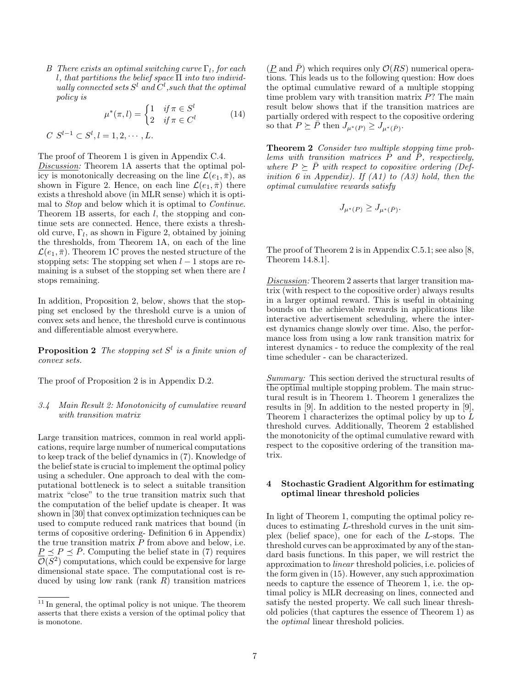B There exists an optimal switching curve  $\Gamma_l$ , for each l, that partitions the belief space  $\Pi$  into two individually connected sets  $S^l$  and  $C^l$ , such that the optimal policy is

$$
\mu^*(\pi, l) = \begin{cases} 1 & \text{if } \pi \in S^l \\ 2 & \text{if } \pi \in C^l \end{cases} \tag{14}
$$

$$
C \ S^{l-1} \subset S^l, l = 1, 2, \cdots, L.
$$

The proof of Theorem 1 is given in Appendix C.4.

Discussion: Theorem 1A asserts that the optimal policy is monotonically decreasing on the line  $\mathcal{L}(e_1, \bar{\pi})$ , as shown in Figure 2. Hence, on each line  $\mathcal{L}(e_1, \overline{\pi})$  there exists a threshold above (in MLR sense) which it is optimal to Stop and below which it is optimal to Continue. Theorem 1B asserts, for each l, the stopping and continue sets are connected. Hence, there exists a threshold curve,  $\Gamma_l$ , as shown in Figure 2, obtained by joining the thresholds, from Theorem 1A, on each of the line  $\mathcal{L}(e_1, \overline{\pi})$ . Theorem 1C proves the nested structure of the stopping sets: The stopping set when  $l-1$  stops are remaining is a subset of the stopping set when there are l stops remaining.

In addition, Proposition 2, below, shows that the stopping set enclosed by the threshold curve is a union of convex sets and hence, the threshold curve is continuous and differentiable almost everywhere.

**Proposition 2** The stopping set  $S^l$  is a finite union of convex sets.

The proof of Proposition 2 is in Appendix D.2.

## 3.4 Main Result 2: Monotonicity of cumulative reward with transition matrix

Large transition matrices, common in real world applications, require large number of numerical computations to keep track of the belief dynamics in (7). Knowledge of the belief state is crucial to implement the optimal policy using a scheduler. One approach to deal with the computational bottleneck is to select a suitable transition matrix "close" to the true transition matrix such that the computation of the belief update is cheaper. It was shown in [30] that convex optimization techniques can be used to compute reduced rank matrices that bound (in terms of copositive ordering- Definition 6 in Appendix) the true transition matrix  $P$  from above and below, i.e.  $\underline{P} \preceq P \preceq \overline{P}$ . Computing the belief state in (7) requires  $\mathcal{O}(S^2)$  computations, which could be expensive for large dimensional state space. The computational cost is reduced by using low rank (rank  $R$ ) transition matrices  $(P \text{ and } \overline{P})$  which requires only  $\mathcal{O}(RS)$  numerical operations. This leads us to the following question: How does the optimal cumulative reward of a multiple stopping time problem vary with transition matrix P? The main result below shows that if the transition matrices are partially ordered with respect to the copositive ordering so that  $P \succeq \overline{P}$  then  $J_{\mu^*(P)} \geq J_{\mu^*(\overline{P})}$ .

Theorem 2 Consider two multiple stopping time problems with transition matrices  $P$  and  $\overline{P}$ , respectively, where  $P \succeq \bar{P}$  with respect to copositive ordering (Definition 6 in Appendix). If  $(A1)$  to  $(A3)$  hold, then the optimal cumulative rewards satisfy

$$
J_{\mu^*(P)}\geq J_{\mu^*(\bar{P})}.
$$

The proof of Theorem 2 is in Appendix C.5.1; see also [8, Theorem 14.8.1].

Discussion: Theorem 2 asserts that larger transition matrix (with respect to the copositive order) always results in a larger optimal reward. This is useful in obtaining bounds on the achievable rewards in applications like interactive advertisement scheduling, where the interest dynamics change slowly over time. Also, the performance loss from using a low rank transition matrix for interest dynamics - to reduce the complexity of the real time scheduler - can be characterized.

Summary: This section derived the structural results of the optimal multiple stopping problem. The main structural result is in Theorem 1. Theorem 1 generalizes the results in [9]. In addition to the nested property in [9], Theorem 1 characterizes the optimal policy by up to L threshold curves. Additionally, Theorem 2 established the monotonicity of the optimal cumulative reward with respect to the copositive ordering of the transition matrix.

## 4 Stochastic Gradient Algorithm for estimating optimal linear threshold policies

In light of Theorem 1, computing the optimal policy reduces to estimating L-threshold curves in the unit simplex (belief space), one for each of the L-stops. The threshold curves can be approximated by any of the standard basis functions. In this paper, we will restrict the approximation to linear threshold policies, i.e. policies of the form given in (15). However, any such approximation needs to capture the essence of Theorem 1, i.e. the optimal policy is MLR decreasing on lines, connected and satisfy the nested property. We call such linear threshold policies (that captures the essence of Theorem 1) as the optimal linear threshold policies.

<span id="page-6-0"></span> $11$  In general, the optimal policy is not unique. The theorem asserts that there exists a version of the optimal policy that is monotone.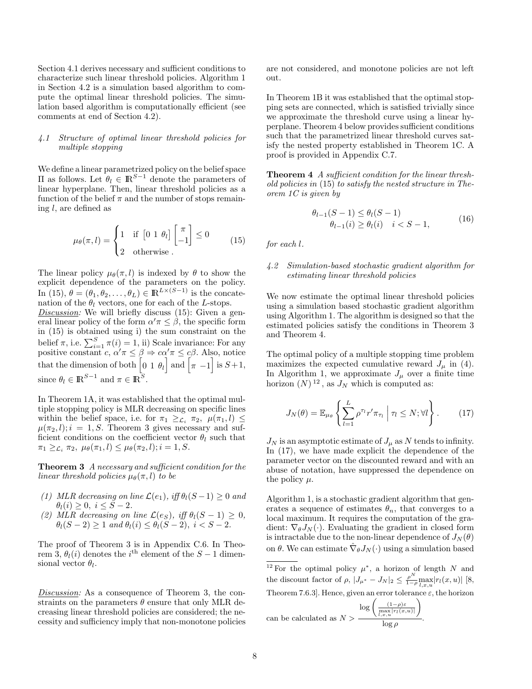Section 4.1 derives necessary and sufficient conditions to characterize such linear threshold policies. Algorithm 1 in Section 4.2 is a simulation based algorithm to compute the optimal linear threshold policies. The simulation based algorithm is computationally efficient (see comments at end of Section 4.2).

## 4.1 Structure of optimal linear threshold policies for multiple stopping

We define a linear parametrized policy on the belief space  $\Pi$  as follows. Let  $θ$ <sub>l</sub> ∈ **R**<sup>S-1</sup> denote the parameters of linear hyperplane. Then, linear threshold policies as a function of the belief  $\pi$  and the number of stops remaining l, are defined as

$$
\mu_{\theta}(\pi, l) = \begin{cases} 1 & \text{if } \left[0 \ 1 \ \theta_l\right] \begin{bmatrix} \pi \\ -1 \end{bmatrix} \le 0 \\ 2 & \text{otherwise} \end{cases}
$$
(15)

The linear policy  $\mu_{\theta}(\pi, l)$  is indexed by  $\theta$  to show the explicit dependence of the parameters on the policy. In (15),  $\theta = (\theta_1, \theta_2, \dots, \theta_L) \in \mathbb{R}^{L \times (S-1)}$  is the concatenation of the  $\theta_l$  vectors, one for each of the L-stops. Discussion: We will briefly discuss (15): Given a general linear policy of the form  $\alpha' \pi \leq \beta$ , the specific form in (15) is obtained using i) the sum constraint on the

belief  $\pi$ , i.e.  $\sum_{i=1}^{S} \pi(i) = 1$ , ii) Scale invariance: For any positive constant  $c, \alpha' \pi \leq \beta \Rightarrow c\alpha' \pi \leq c\beta$ . Also, notice that the dimension of both  $\begin{bmatrix} 0 & 1 & \theta_l \end{bmatrix}$  and  $\begin{bmatrix} \pi & -1 \end{bmatrix}$  is  $S+1$ , since  $\theta_l \in \mathbb{R}^{S-1}$  and  $\pi \in \mathbb{R}^S$ .

In Theorem 1A, it was established that the optimal multiple stopping policy is MLR decreasing on specific lines within the belief space, i.e. for  $\pi_1 \geq_{\mathcal{L}_i} \pi_2$ ,  $\mu(\pi_1, l) \leq$  $\mu(\pi_2, l); i = 1, S$ . Theorem 3 gives necessary and sufficient conditions on the coefficient vector  $\theta_l$  such that  $\pi_1 \geq_{\mathcal{L}_i} \pi_2$ ,  $\mu_\theta(\pi_1, l) \leq \mu_\theta(\pi_2, l); i = 1, S$ .

Theorem 3 A necessary and sufficient condition for the linear threshold policies  $\mu_{\theta}(\pi, l)$  to be

- (1) MLR decreasing on line  $\mathcal{L}(e_1)$ , iff  $\theta_l(S-1) \geq 0$  and  $\theta_l(i) \geq 0, i \leq S-2.$
- (2) MLR decreasing on line  $\mathcal{L}(e_S)$ , iff  $\theta_l(S-1) \geq 0$ ,  $\theta_l(S-2) \geq 1$  and  $\theta_l(i) \leq \theta_l(S-2), i < S-2$ .

The proof of Theorem 3 is in Appendix C.6. In Theorem  $\bar{3}$ ,  $\theta_l(i)$  denotes the i<sup>th</sup> element of the  $S-1$  dimensional vector  $\theta_l$ .

Discussion: As a consequence of Theorem 3, the constraints on the parameters  $\theta$  ensure that only MLR decreasing linear threshold policies are considered; the necessity and sufficiency imply that non-monotone policies are not considered, and monotone policies are not left out.

In Theorem 1B it was established that the optimal stopping sets are connected, which is satisfied trivially since we approximate the threshold curve using a linear hyperplane. Theorem 4 below provides sufficient conditions such that the parametrized linear threshold curves satisfy the nested property established in Theorem 1C. A proof is provided in Appendix C.7.

Theorem 4 A sufficient condition for the linear threshold policies in (15) to satisfy the nested structure in Theorem 1C is given by

$$
\theta_{l-1}(S-1) \le \theta_l(S-1) \n\theta_{l-1}(i) \ge \theta_l(i) \quad i < S-1,
$$
\n(16)

for each l.

## 4.2 Simulation-based stochastic gradient algorithm for estimating linear threshold policies

We now estimate the optimal linear threshold policies using a simulation based stochastic gradient algorithm using Algorithm 1. The algorithm is designed so that the estimated policies satisfy the conditions in Theorem 3 and Theorem 4.

The optimal policy of a multiple stopping time problem maximizes the expected cumulative reward  $J_{\mu}$  in (4). In Algorithm 1, we approximate  $J_{\mu}$  over a finite time horizon  $(N)^{12}$  $(N)^{12}$  $(N)^{12}$ , as  $J_N$  which is computed as:

$$
J_N(\theta) = \mathbb{E}_{\mu_\theta} \left\{ \sum_{l=1}^L \rho^{\tau_l} r' \pi_{\tau_l} \middle| \tau_l \le N; \forall l \right\}.
$$
 (17)

 $J_N$  is an asymptotic estimate of  $J_\mu$  as N tends to infinity. In (17), we have made explicit the dependence of the parameter vector on the discounted reward and with an abuse of notation, have suppressed the dependence on the policy  $\mu$ .

Algorithm 1, is a stochastic gradient algorithm that generates a sequence of estimates  $\theta_n$ , that converges to a local maximum. It requires the computation of the gradient:  $\nabla_{\theta} J_N(\cdot)$ . Evaluating the gradient in closed form is intractable due to the non-linear dependence of  $J_N(\theta)$ on  $\theta$ . We can estimate  $\hat{\nabla}_{\theta} J_N(\cdot)$  using a simulation based

.

can be calculated as 
$$
N > \frac{\log\left(\frac{(1-\rho)\varepsilon}{\max\limits_{l,x,u} |r_l(x,u)|}\right)}{\log\rho}
$$

<span id="page-7-0"></span><sup>&</sup>lt;sup>12</sup> For the optimal policy  $\mu^*$ , a horizon of length N and the discount factor of  $\rho$ ,  $|J_{\mu^*} - J_N|_2 \leq \frac{\rho^N}{1-\rho} \max_{l,x,u} |r_l(x,u)|$  [8, Theorem 7.6.3]. Hence, given an error tolerance  $\varepsilon$ , the horizon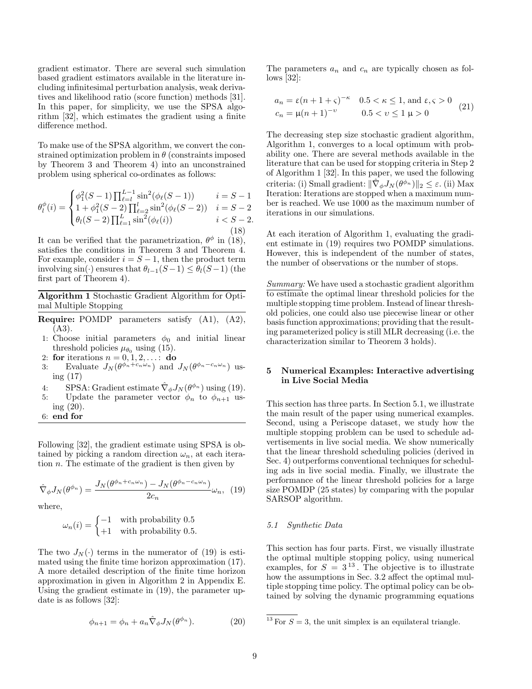gradient estimator. There are several such simulation based gradient estimators available in the literature including infinitesimal perturbation analysis, weak derivatives and likelihood ratio (score function) methods [31]. In this paper, for simplicity, we use the SPSA algorithm [32], which estimates the gradient using a finite difference method.

To make use of the SPSA algorithm, we convert the constrained optimization problem in  $\theta$  (constraints imposed by Theorem 3 and Theorem 4) into an unconstrained problem using spherical co-ordinates as follows:

$$
\theta_l^{\phi}(i) = \begin{cases} \phi_1^2(S-1) \prod_{\ell=1}^{L-1} \sin^2(\phi_\ell(S-1)) & i = S-1\\ 1 + \phi_1^2(S-2) \prod_{\ell=2}^l \sin^2(\phi_\ell(S-2)) & i = S-2\\ \theta_l(S-2) \prod_{\ell=1}^L \sin^2(\phi_\ell(i)) & i < S-2. \end{cases} \tag{18}
$$

It can be verified that the parametrization,  $\theta^{\phi}$  in (18), satisfies the conditions in Theorem 3 and Theorem 4. For example, consider  $i = S - 1$ , then the product term involving  $\sin(\cdot)$  ensures that  $\theta_{l-1}(S-1) \leq \theta_l(S-1)$  (the first part of Theorem 4).

Algorithm 1 Stochastic Gradient Algorithm for Optimal Multiple Stopping

- Require: POMDP parameters satisfy (A1), (A2),  $(A3)$ .
- 1: Choose initial parameters  $\phi_0$  and initial linear threshold policies  $\mu_{\theta_0}$  using (15).
- 2: for iterations  $n = 0, 1, 2, \ldots$ : do
- 3: Evaluate  $J_N(\theta^{\phi_n+c_n\omega_n})$  and  $J_N(\theta^{\phi_n-c_n\omega_n})$  using (17)
- 4: SPSA: Gradient estimate  $\hat{\nabla}_{\phi} J_N(\theta^{\phi_n})$  using (19).
- 5: Update the parameter vector  $\phi_n$  to  $\phi_{n+1}$  using (20).
- 6: end for

Following [32], the gradient estimate using SPSA is obtained by picking a random direction  $\omega_n$ , at each iteration  $n$ . The estimate of the gradient is then given by

$$
\hat{\nabla}_{\phi} J_N(\theta^{\phi_n}) = \frac{J_N(\theta^{\phi_n + c_n \omega_n}) - J_N(\theta^{\phi_n - c_n \omega_n})}{2c_n} \omega_n, \tag{19}
$$

where,

$$
\omega_n(i) = \begin{cases} -1 & \text{with probability } 0.5\\ +1 & \text{with probability } 0.5 \end{cases}
$$

The two  $J_N(\cdot)$  terms in the numerator of (19) is estimated using the finite time horizon approximation (17). A more detailed description of the finite time horizon approximation in given in Algorithm 2 in Appendix E. Using the gradient estimate in (19), the parameter update is as follows [32]:

$$
\phi_{n+1} = \phi_n + a_n \hat{\nabla}_\phi J_N(\theta^{\phi_n}).\tag{20}
$$

The parameters  $a_n$  and  $c_n$  are typically chosen as follows [32]:

$$
a_n = \varepsilon (n+1+\varsigma)^{-\kappa} \quad 0.5 < \kappa \le 1, \text{ and } \varepsilon, \varsigma > 0
$$
  

$$
c_n = \mu (n+1)^{-\upsilon} \qquad 0.5 < \upsilon \le 1 \mu > 0
$$
 (21)

The decreasing step size stochastic gradient algorithm, Algorithm 1, converges to a local optimum with probability one. There are several methods available in the literature that can be used for stopping criteria in Step 2 of Algorithm 1 [32]. In this paper, we used the following criteria: (i) Small gradient:  $\|\hat{\nabla}_{\phi}J_N(\theta^{\phi_n})\|_2 \leq \varepsilon$ . (ii) Max Iteration: Iterations are stopped when a maximum number is reached. We use 1000 as the maximum number of iterations in our simulations.

At each iteration of Algorithm 1, evaluating the gradient estimate in (19) requires two POMDP simulations. However, this is independent of the number of states, the number of observations or the number of stops.

Summary: We have used a stochastic gradient algorithm to estimate the optimal linear threshold policies for the multiple stopping time problem. Instead of linear threshold policies, one could also use piecewise linear or other basis function approximations; providing that the resulting parameterized policy is still MLR decreasing (i.e. the characterization similar to Theorem 3 holds).

## 5 Numerical Examples: Interactive advertising in Live Social Media

This section has three parts. In Section 5.1, we illustrate the main result of the paper using numerical examples. Second, using a Periscope dataset, we study how the multiple stopping problem can be used to schedule advertisements in live social media. We show numerically that the linear threshold scheduling policies (derived in Sec. 4) outperforms conventional techniques for scheduling ads in live social media. Finally, we illustrate the performance of the linear threshold policies for a large size POMDP (25 states) by comparing with the popular SARSOP algorithm.

#### 5.1 Synthetic Data

This section has four parts. First, we visually illustrate the optimal multiple stopping policy, using numerical examples, for  $S = 3^{13}$  $S = 3^{13}$  $S = 3^{13}$ . The objective is to illustrate how the assumptions in Sec. 3.2 affect the optimal multiple stopping time policy. The optimal policy can be obtained by solving the dynamic programming equations

<span id="page-8-0"></span><sup>&</sup>lt;sup>13</sup> For  $S = 3$ , the unit simplex is an equilateral triangle.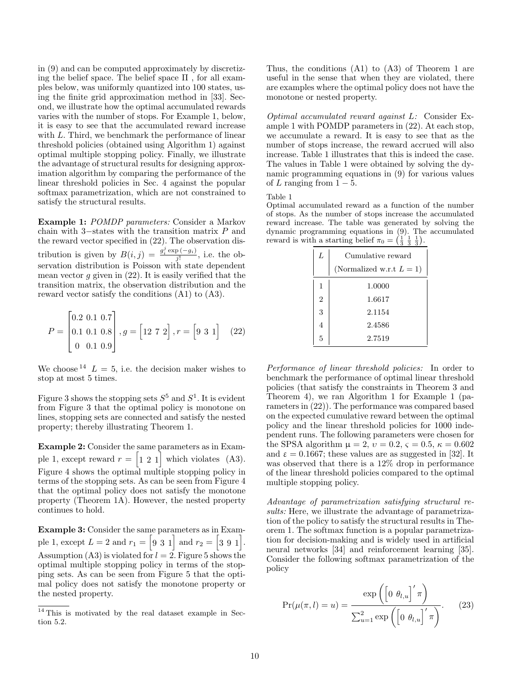in (9) and can be computed approximately by discretizing the belief space. The belief space Π , for all examples below, was uniformly quantized into 100 states, using the finite grid approximation method in [33]. Second, we illustrate how the optimal accumulated rewards varies with the number of stops. For Example 1, below, it is easy to see that the accumulated reward increase with L. Third, we benchmark the performance of linear threshold policies (obtained using Algorithm 1) against optimal multiple stopping policy. Finally, we illustrate the advantage of structural results for designing approximation algorithm by comparing the performance of the linear threshold policies in Sec. 4 against the popular softmax parametrization, which are not constrained to satisfy the structural results.

Example 1: POMDP parameters: Consider a Markov chain with 3−states with the transition matrix P and the reward vector specified in (22). The observation distribution is given by  $B(i, j) = \frac{g_i^j \exp(-g_i)}{j!}$  $\frac{\beta(-g_i)}{j!}$ , i.e. the observation distribution is Poisson with state dependent mean vector  $q$  given in  $(22)$ . It is easily verified that the transition matrix, the observation distribution and the reward vector satisfy the conditions (A1) to (A3).

$$
P = \begin{bmatrix} 0.2 & 0.1 & 0.7 \\ 0.1 & 0.1 & 0.8 \\ 0 & 0.1 & 0.9 \end{bmatrix}, g = \begin{bmatrix} 12 & 7 & 2 \end{bmatrix}, r = \begin{bmatrix} 9 & 3 & 1 \end{bmatrix} \quad (22)
$$

We choose <sup>[14](#page-9-0)</sup>  $L = 5$ , i.e. the decision maker wishes to stop at most 5 times.

Figure 3 shows the stopping sets  $S^5$  and  $S^1$ . It is evident from Figure 3 that the optimal policy is monotone on lines, stopping sets are connected and satisfy the nested property; thereby illustrating Theorem 1.

Example 2: Consider the same parameters as in Example 1, except reward  $r = \begin{bmatrix} 1 & 2 & 1 \end{bmatrix}$  which violates (A3). Figure 4 shows the optimal multiple stopping policy in terms of the stopping sets. As can be seen from Figure 4 that the optimal policy does not satisfy the monotone property (Theorem 1A). However, the nested property continues to hold.

Example 3: Consider the same parameters as in Example 1, except  $L = 2$  and  $r_1 = \begin{bmatrix} 9 & 3 & 1 \end{bmatrix}$  and  $r_2 = \begin{bmatrix} 3 & 9 & 1 \end{bmatrix}$ . Assumption (A3) is violated for  $l = 2$ . Figure 5 shows the optimal multiple stopping policy in terms of the stopping sets. As can be seen from Figure 5 that the optimal policy does not satisfy the monotone property or the nested property.

Thus, the conditions (A1) to (A3) of Theorem 1 are useful in the sense that when they are violated, there are examples where the optimal policy does not have the monotone or nested property.

Optimal accumulated reward against L: Consider Example 1 with POMDP parameters in (22). At each stop, we accumulate a reward. It is easy to see that as the number of stops increase, the reward accrued will also increase. Table 1 illustrates that this is indeed the case. The values in Table 1 were obtained by solving the dynamic programming equations in (9) for various values of L ranging from  $1-5$ .

Table 1

Optimal accumulated reward as a function of the number of stops. As the number of stops increase the accumulated reward increase. The table was generated by solving the dynamic programming equations in (9). The accumulated reward is with a starting belief  $\pi_0 = \left(\frac{1}{3} \cdot \frac{1}{3} \cdot \frac{1}{3}\right)$ .

| L              | Cumulative reward           |  |  |
|----------------|-----------------------------|--|--|
|                | (Normalized w.r.t $L = 1$ ) |  |  |
| 1              | 1.0000                      |  |  |
| $\overline{2}$ | 1.6617                      |  |  |
| 3              | 2.1154                      |  |  |
| $\overline{4}$ | 2.4586                      |  |  |
| 5              | 2.7519                      |  |  |

Performance of linear threshold policies: In order to benchmark the performance of optimal linear threshold policies (that satisfy the constraints in Theorem 3 and Theorem 4), we ran Algorithm 1 for Example 1 (parameters in (22)). The performance was compared based on the expected cumulative reward between the optimal policy and the linear threshold policies for 1000 independent runs. The following parameters were chosen for the SPSA algorithm  $\mu = 2$ ,  $v = 0.2$ ,  $\varsigma = 0.5$ ,  $\kappa = 0.602$ and  $\varepsilon = 0.1667$ ; these values are as suggested in [32]. It was observed that there is a 12% drop in performance of the linear threshold policies compared to the optimal multiple stopping policy.

Advantage of parametrization satisfying structural results: Here, we illustrate the advantage of parametrization of the policy to satisfy the structural results in Theorem 1. The softmax function is a popular parametrization for decision-making and is widely used in artificial neural networks [34] and reinforcement learning [35]. Consider the following softmax parametrization of the policy

$$
Pr(\mu(\pi, l) = u) = \frac{\exp\left(\left[0 \ \theta_{l,u}\right]'\pi\right)}{\sum_{u=1}^2 \exp\left(\left[0 \ \theta_{l,u}\right]'\pi\right)}.
$$
 (23)

<span id="page-9-0"></span><sup>14</sup> This is motivated by the real dataset example in Section 5.2.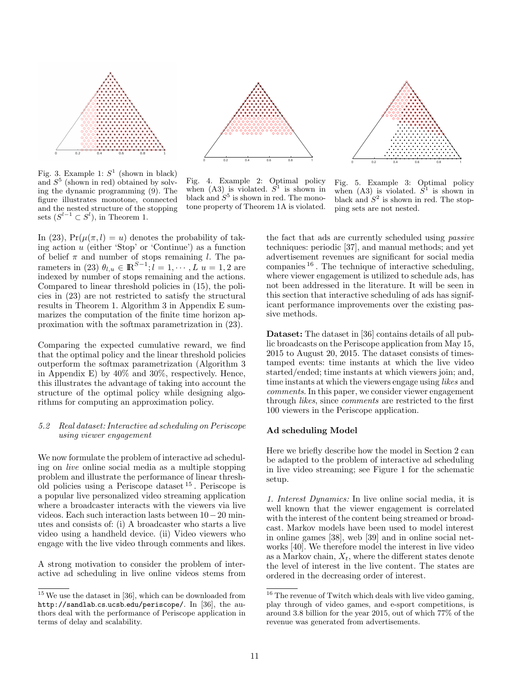

Fig. 3. Example 1:  $S^1$  (shown in black) and  $S<sup>5</sup>$  (shown in red) obtained by solving the dynamic programming (9). The figure illustrates monotone, connected and the nested structure of the stopping sets  $(S^{l-1} \subset S^l)$ , in Theorem 1.



Fig. 4. Example 2: Optimal policy when (A3) is violated.  $S^1$  is shown in black and  $S^5$  is shown in red. The monotone property of Theorem 1A is violated.



Fig. 5. Example 3: Optimal policy when (A3) is violated.  $S^1$  is shown in black and  $S^2$  is shown in red. The stopping sets are not nested.

In (23),  $Pr(\mu(\pi, l) = u)$  denotes the probability of taking action  $u$  (either 'Stop' or 'Continue') as a function of belief  $\pi$  and number of stops remaining l. The parameters in (23)  $\theta_{l,u} \in \mathbb{R}^{S-1}; l = 1, \cdots, L \ u = 1, 2$  are indexed by number of stops remaining and the actions. Compared to linear threshold policies in (15), the policies in (23) are not restricted to satisfy the structural results in Theorem 1. Algorithm 3 in Appendix E summarizes the computation of the finite time horizon approximation with the softmax parametrization in (23).

Comparing the expected cumulative reward, we find that the optimal policy and the linear threshold policies outperform the softmax parametrization (Algorithm 3 in Appendix E) by 40% and 30%, respectively. Hence, this illustrates the advantage of taking into account the structure of the optimal policy while designing algorithms for computing an approximation policy.

## 5.2 Real dataset: Interactive ad scheduling on Periscope using viewer engagement

We now formulate the problem of interactive ad scheduling on live online social media as a multiple stopping problem and illustrate the performance of linear threshold policies using a Periscope dataset [15](#page-10-0) . Periscope is a popular live personalized video streaming application where a broadcaster interacts with the viewers via live videos. Each such interaction lasts between 10−20 minutes and consists of: (i) A broadcaster who starts a live video using a handheld device. (ii) Video viewers who engage with the live video through comments and likes.

A strong motivation to consider the problem of interactive ad scheduling in live online videos stems from the fact that ads are currently scheduled using passive techniques: periodic [37], and manual methods; and yet advertisement revenues are significant for social media companies [16](#page-10-1) . The technique of interactive scheduling, where viewer engagement is utilized to schedule ads, has not been addressed in the literature. It will be seen in this section that interactive scheduling of ads has significant performance improvements over the existing passive methods.

Dataset: The dataset in [36] contains details of all public broadcasts on the Periscope application from May 15, 2015 to August 20, 2015. The dataset consists of timestamped events: time instants at which the live video started/ended; time instants at which viewers join; and, time instants at which the viewers engage using likes and comments. In this paper, we consider viewer engagement through likes, since comments are restricted to the first 100 viewers in the Periscope application.

## Ad scheduling Model

Here we briefly describe how the model in Section 2 can be adapted to the problem of interactive ad scheduling in live video streaming; see Figure 1 for the schematic setup.

1. Interest Dynamics: In live online social media, it is well known that the viewer engagement is correlated with the interest of the content being streamed or broadcast. Markov models have been used to model interest in online games [38], web [39] and in online social networks [40]. We therefore model the interest in live video as a Markov chain,  $X_t$ , where the different states denote the level of interest in the live content. The states are ordered in the decreasing order of interest.

<span id="page-10-0"></span> $^{15}\!\!\text{We}$  use the dataset in [36], which can be downloaded from [http://sandlab](http://sandlab.cs.ucsb.edu/periscope/).cs.ucsb.edu/periscope/. In [36], the authors deal with the performance of Periscope application in terms of delay and scalability.

<span id="page-10-1"></span> $^{16}$  The revenue of Twitch which deals with live video gaming, play through of video games, and e-sport competitions, is around 3.8 billion for the year 2015, out of which 77% of the revenue was generated from advertisements.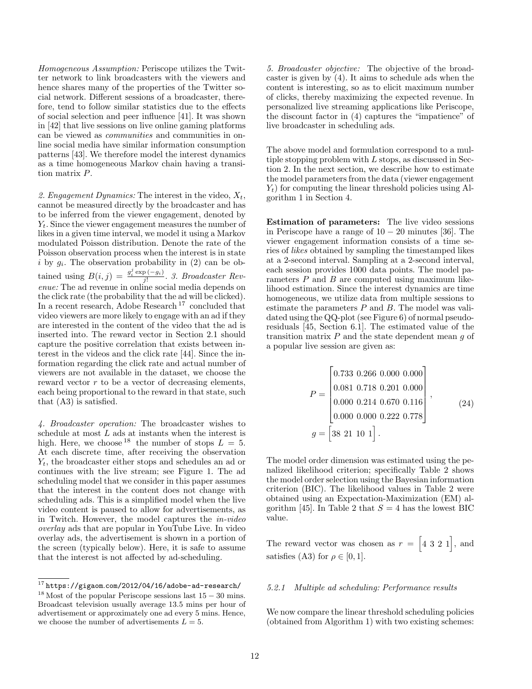Homogeneous Assumption: Periscope utilizes the Twitter network to link broadcasters with the viewers and hence shares many of the properties of the Twitter social network. Different sessions of a broadcaster, therefore, tend to follow similar statistics due to the effects of social selection and peer influence [41]. It was shown in [42] that live sessions on live online gaming platforms can be viewed as communities and communities in online social media have similar information consumption patterns [43]. We therefore model the interest dynamics as a time homogeneous Markov chain having a transition matrix P.

2. Engagement Dynamics: The interest in the video,  $X_t$ , cannot be measured directly by the broadcaster and has to be inferred from the viewer engagement, denoted by  $Y_t$ . Since the viewer engagement measures the number of likes in a given time interval, we model it using a Markov modulated Poisson distribution. Denote the rate of the Poisson observation process when the interest is in state i by  $g_i$ . The observation probability in  $(2)$  can be obtained using  $B(i, j) = \frac{g_i^j \exp(-g_i)}{j!}$  $\frac{\beta(-g_i)}{j!}$ . 3. Broadcaster Revenue: The ad revenue in online social media depends on the click rate (the probability that the ad will be clicked). In a recent research, Adobe Research [17](#page-11-0) concluded that video viewers are more likely to engage with an ad if they are interested in the content of the video that the ad is inserted into. The reward vector in Section 2.1 should capture the positive correlation that exists between interest in the videos and the click rate [44]. Since the information regarding the click rate and actual number of viewers are not available in the dataset, we choose the reward vector  $r$  to be a vector of decreasing elements, each being proportional to the reward in that state, such that (A3) is satisfied.

4. Broadcaster operation: The broadcaster wishes to schedule at most  $L$  ads at instants when the interest is high. Here, we choose <sup>[18](#page-11-1)</sup> the number of stops  $L = 5$ . At each discrete time, after receiving the observation  $Y_t$ , the broadcaster either stops and schedules an ad or continues with the live stream; see Figure 1. The ad scheduling model that we consider in this paper assumes that the interest in the content does not change with scheduling ads. This is a simplified model when the live video content is paused to allow for advertisements, as in Twitch. However, the model captures the in-video overlay ads that are popular in YouTube Live. In video overlay ads, the advertisement is shown in a portion of the screen (typically below). Here, it is safe to assume that the interest is not affected by ad-scheduling.

5. Broadcaster objective: The objective of the broadcaster is given by (4). It aims to schedule ads when the content is interesting, so as to elicit maximum number of clicks, thereby maximizing the expected revenue. In personalized live streaming applications like Periscope, the discount factor in (4) captures the "impatience" of live broadcaster in scheduling ads.

The above model and formulation correspond to a multiple stopping problem with  $L$  stops, as discussed in Section 2. In the next section, we describe how to estimate the model parameters from the data (viewer engagement  $Y_t$ ) for computing the linear threshold policies using Algorithm 1 in Section 4.

Estimation of parameters: The live video sessions in Periscope have a range of  $10 - 20$  minutes [36]. The viewer engagement information consists of a time series of likes obtained by sampling the timestamped likes at a 2-second interval. Sampling at a 2-second interval, each session provides 1000 data points. The model parameters  $P$  and  $B$  are computed using maximum likelihood estimation. Since the interest dynamics are time homogeneous, we utilize data from multiple sessions to estimate the parameters  $P$  and  $B$ . The model was validated using the QQ-plot (see Figure 6) of normal pseudoresiduals [45, Section 6.1]. The estimated value of the transition matrix  $P$  and the state dependent mean  $q$  of a popular live session are given as:

$$
P = \begin{bmatrix} 0.733 & 0.266 & 0.000 & 0.000 \\ 0.081 & 0.718 & 0.201 & 0.000 \\ 0.000 & 0.214 & 0.670 & 0.116 \\ 0.000 & 0.000 & 0.222 & 0.778 \end{bmatrix},
$$
\n
$$
g = \begin{bmatrix} 38 & 21 & 10 & 1 \end{bmatrix}.
$$
\n(24)

The model order dimension was estimated using the penalized likelihood criterion; specifically Table 2 shows the model order selection using the Bayesian information criterion (BIC). The likelihood values in Table 2 were obtained using an Expectation-Maximization (EM) algorithm [45]. In Table 2 that  $S = 4$  has the lowest BIC value.

The reward vector was chosen as  $r = \begin{bmatrix} 4 & 3 & 2 & 1 \end{bmatrix}$ , and satisfies (A3) for  $\rho \in [0, 1]$ .

#### 5.2.1 Multiple ad scheduling: Performance results

We now compare the linear threshold scheduling policies (obtained from Algorithm 1) with two existing schemes:

<span id="page-11-1"></span><span id="page-11-0"></span> $^{17}\rm\, https://gigaom.com/2012/04/16/adobe-ad-research/$  $^{17}\rm\, https://gigaom.com/2012/04/16/adobe-ad-research/$ <sup>18</sup> Most of the popular Periscope sessions last  $15 - 30$  mins. Broadcast television usually average 13.5 mins per hour of advertisement or approximately one ad every 5 mins. Hence, we choose the number of advertisements  $L = 5$ .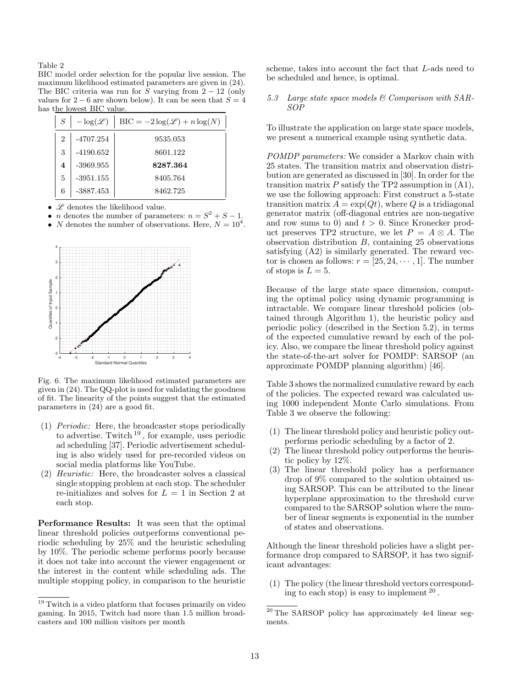#### Table 2

BIC model order selection for the popular live session. The maximum likelihood estimated parameters are given in (24). The BIC criteria was run for  $S$  varying from  $2 - 12$  (only values for  $2 - 6$  are shown below). It can be seen that  $S = 4$ has the lowest BIC value.

| S              | $-\log(\mathscr{L})$ | $BIC = -2 \log(\mathcal{L}) + n \log(N)$ |
|----------------|----------------------|------------------------------------------|
| $\mathfrak{D}$ | $-4707.254$          | 9535.053                                 |
| 3              | $-4190.652$          | 8601.122                                 |
| 4              | $-3969.955$          | 8287.364                                 |
| 5              | $-3951.155$          | 8405.764                                 |
| 6              | $-3887.453$          | 8462.725                                 |

 $\bullet$   $\mathscr L$  denotes the likelihood value.

- *n* denotes the number of parameters:  $n = S^2 + S 1$ .
- *N* denotes the number of observations. Here,  $N = 10^4$ .



Fig. 6. The maximum likelihood estimated parameters are given in (24). The QQ-plot is used for validating the goodness of fit. The linearity of the points suggest that the estimated parameters in (24) are a good fit.

- (1) Periodic: Here, the broadcaster stops periodically to advertise. Twitch [19](#page-12-0) , for example, uses periodic ad scheduling [37]. Periodic advertisement scheduling is also widely used for pre-recorded videos on social media platforms like YouTube.
- (2) Heuristic: Here, the broadcaster solves a classical single stopping problem at each stop. The scheduler re-initializes and solves for  $L = 1$  in Section 2 at each stop.

Performance Results: It was seen that the optimal linear threshold policies outperforms conventional periodic scheduling by 25% and the heuristic scheduling by 10%. The periodic scheme performs poorly because it does not take into account the viewer engagement or the interest in the content while scheduling ads. The multiple stopping policy, in comparison to the heuristic scheme, takes into account the fact that L-ads need to be scheduled and hence, is optimal.

#### 5.3 Large state space models & Comparison with SAR-SOP

To illustrate the application on large state space models, we present a numerical example using synthetic data.

POMDP parameters: We consider a Markov chain with 25 states. The transition matrix and observation distribution are generated as discussed in [30]. In order for the transition matrix  $P$  satisfy the TP2 assumption in  $(A1)$ , we use the following approach: First construct a 5-state transition matrix  $A = \exp(Qt)$ , where Q is a tridiagonal generator matrix (off-diagonal entries are non-negative and row sums to 0) and  $t > 0$ . Since Kronecker product preserves TP2 structure, we let  $P = A \otimes A$ . The observation distribution  $B$ , containing 25 observations satisfying (A2) is similarly generated. The reward vector is chosen as follows:  $r = [25, 24, \dots, 1]$ . The number of stops is  $L = 5$ .

Because of the large state space dimension, computing the optimal policy using dynamic programming is intractable. We compare linear threshold policies (obtained through Algorithm 1), the heuristic policy and periodic policy (described in the Section 5.2), in terms of the expected cumulative reward by each of the policy. Also, we compare the linear threshold policy against the state-of-the-art solver for POMDP: SARSOP (an approximate POMDP planning algorithm) [46].

Table 3 shows the normalized cumulative reward by each of the policies. The expected reward was calculated using 1000 independent Monte Carlo simulations. From Table 3 we observe the following:

- (1) The linear threshold policy and heuristic policy outperforms periodic scheduling by a factor of 2.
- (2) The linear threshold policy outperforms the heuristic policy by 12%.
- (3) The linear threshold policy has a performance drop of 9% compared to the solution obtained using SARSOP. This can be attributed to the linear hyperplane approximation to the threshold curve compared to the SARSOP solution where the number of linear segments is exponential in the number of states and observations.

Although the linear threshold policies have a slight performance drop compared to SARSOP, it has two significant advantages:

(1) The policy (the linear threshold vectors corresponding to each stop) is easy to implement [20](#page-12-1) .

<span id="page-12-0"></span><sup>&</sup>lt;sup>19</sup> Twitch is a video platform that focuses primarily on video gaming. In 2015, Twitch had more than 1.5 million broadcasters and 100 million visitors per month

<span id="page-12-1"></span><sup>20</sup> The SARSOP policy has approximately 4e4 linear segments.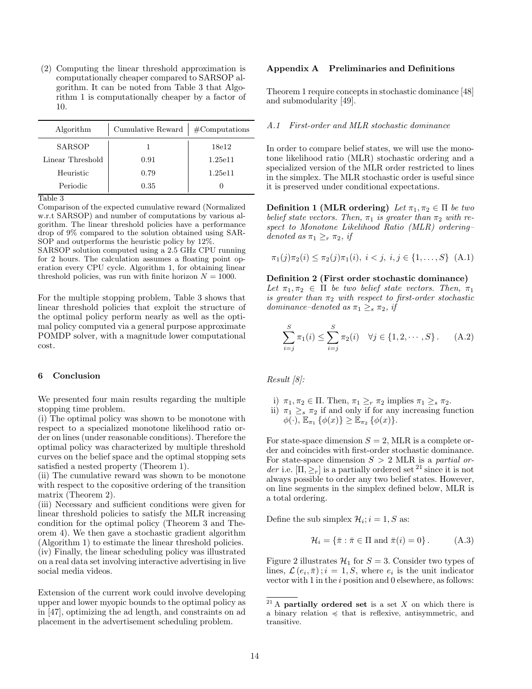(2) Computing the linear threshold approximation is computationally cheaper compared to SARSOP algorithm. It can be noted from Table 3 that Algorithm 1 is computationally cheaper by a factor of 10.

| Algorithm        | Cumulative Reward $#Computations$ |         |
|------------------|-----------------------------------|---------|
| <b>SARSOP</b>    |                                   | 18e12   |
| Linear Threshold | 0.91                              | 1.25e11 |
| Heuristic        | 0.79                              | 1.25e11 |
| Periodic         | 0.35                              |         |

Table 3

Comparison of the expected cumulative reward (Normalized w.r.t SARSOP) and number of computations by various algorithm. The linear threshold policies have a performance drop of 9% compared to the solution obtained using SAR-SOP and outperforms the heuristic policy by 12%.

SARSOP solution computed using a 2.5 GHz CPU running for 2 hours. The calculation assumes a floating point operation every CPU cycle. Algorithm 1, for obtaining linear threshold policies, was run with finite horizon  $N = 1000$ .

For the multiple stopping problem, Table 3 shows that linear threshold policies that exploit the structure of the optimal policy perform nearly as well as the optimal policy computed via a general purpose approximate POMDP solver, with a magnitude lower computational cost.

#### 6 Conclusion

We presented four main results regarding the multiple stopping time problem.

(i) The optimal policy was shown to be monotone with respect to a specialized monotone likelihood ratio order on lines (under reasonable conditions). Therefore the optimal policy was characterized by multiple threshold curves on the belief space and the optimal stopping sets satisfied a nested property (Theorem 1).

(ii) The cumulative reward was shown to be monotone with respect to the copositive ordering of the transition matrix (Theorem 2).

(iii) Necessary and sufficient conditions were given for linear threshold policies to satisfy the MLR increasing condition for the optimal policy (Theorem 3 and Theorem 4). We then gave a stochastic gradient algorithm (Algorithm 1) to estimate the linear threshold policies. (iv) Finally, the linear scheduling policy was illustrated on a real data set involving interactive advertising in live social media videos.

Extension of the current work could involve developing upper and lower myopic bounds to the optimal policy as in [47], optimizing the ad length, and constraints on ad placement in the advertisement scheduling problem.

#### Appendix A Preliminaries and Definitions

Theorem 1 require concepts in stochastic dominance [48] and submodularity [49].

#### A.1 First-order and MLR stochastic dominance

In order to compare belief states, we will use the monotone likelihood ratio (MLR) stochastic ordering and a specialized version of the MLR order restricted to lines in the simplex. The MLR stochastic order is useful since it is preserved under conditional expectations.

Definition 1 (MLR ordering) Let  $\pi_1, \pi_2 \in \Pi$  be two belief state vectors. Then,  $\pi_1$  is greater than  $\pi_2$  with respect to Monotone Likelihood Ratio (MLR) ordering– denoted as  $\pi_1 \geq_r \pi_2$ , if

$$
\pi_1(j)\pi_2(i) \le \pi_2(j)\pi_1(i), \ i < j, \ i, j \in \{1, \dots, S\} \ (A.1)
$$

#### Definition 2 (First order stochastic dominance)

Let  $\pi_1, \pi_2 \in \Pi$  be two belief state vectors. Then,  $\pi_1$ is greater than  $\pi_2$  with respect to first-order stochastic dominance–denoted as  $\pi_1 \geq_s \pi_2$ , if

$$
\sum_{i=j}^{S} \pi_1(i) \le \sum_{i=j}^{S} \pi_2(i) \quad \forall j \in \{1, 2, \cdots, S\}.
$$
 (A.2)

Result [8]:

- i)  $\pi_1, \pi_2 \in \Pi$ . Then,  $\pi_1 \geq_r \pi_2$  implies  $\pi_1 \geq_s \pi_2$ .
- ii)  $\pi_1 \geq_s \pi_2$  if and only if for any increasing function  $\phi(\cdot), \mathbb{E}_{\pi_1} \{\phi(x)\} \geq \mathbb{E}_{\pi_2} \{\phi(x)\}.$

For state-space dimension  $S = 2$ , MLR is a complete order and coincides with first-order stochastic dominance. For state-space dimension  $S > 2$  MLR is a partial order i.e.  $[\Pi, \geq_r]$  is a partially ordered set <sup>[21](#page-13-0)</sup> since it is not always possible to order any two belief states. However, on line segments in the simplex defined below, MLR is a total ordering.

Define the sub simplex  $\mathcal{H}_i$ ;  $i = 1, S$  as:

$$
\mathcal{H}_i = \{ \bar{\pi} : \bar{\pi} \in \Pi \text{ and } \bar{\pi}(i) = 0 \}.
$$
 (A.3)

Figure 2 illustrates  $\mathcal{H}_1$  for  $S = 3$ . Consider two types of lines,  $\mathcal{L}(e_i, \bar{\pi})$ ;  $i = 1, S$ , where  $e_i$  is the unit indicator vector with 1 in the i position and 0 elsewhere, as follows:

<span id="page-13-0"></span><sup>&</sup>lt;sup>21</sup> A **partially ordered set** is a set  $X$  on which there is a binary relation  $\preccurlyeq$  that is reflexive, antisymmetric, and transitive.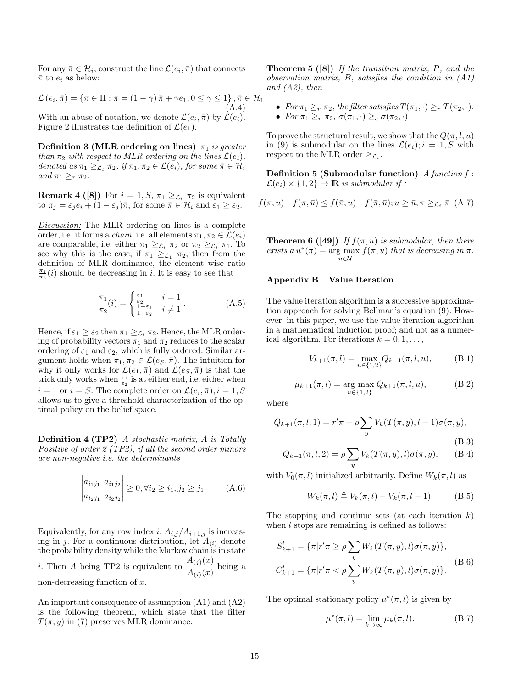For any  $\bar{\pi} \in \mathcal{H}_i$ , construct the line  $\mathcal{L}(e_i, \bar{\pi})$  that connects  $\bar{\pi}$  to  $e_i$  as below:

$$
\mathcal{L}(e_i, \bar{\pi}) = \{ \pi \in \Pi : \pi = (1 - \gamma) \bar{\pi} + \gamma e_1, 0 \le \gamma \le 1 \}, \bar{\pi} \in \mathcal{H}_1
$$
\n(A.4)

\nWith an abuse of notation, we denote  $\mathcal{L}(e_i, \bar{\pi})$  by  $\mathcal{L}(e_i)$ .

Figure 2 illustrates the definition of  $\mathcal{L}(e_1)$ .

Definition 3 (MLR ordering on lines)  $\pi_1$  is greater than  $\pi_2$  with respect to MLR ordering on the lines  $\mathcal{L}(e_i)$ , denoted as  $\pi_1 \geq_{\mathcal{L}_i} \pi_2$ , if  $\pi_1, \pi_2 \in \mathcal{L}(e_i)$ , for some  $\bar{\pi} \in \mathcal{H}_i$ and  $\pi_1 \geq_r \pi_2$ .

**Remark 4 ([8])** For  $i = 1, S, \pi_1 \geq_{\mathcal{L}_i} \pi_2$  is equivalent to  $\pi_j = \varepsilon_j e_i + (1 - \varepsilon_j)\overline{\pi}$ , for some  $\overline{\pi} \in \mathcal{H}_i$  and  $\varepsilon_1 \geq \varepsilon_2$ .

Discussion: The MLR ordering on lines is a complete order, i.e. it forms a *chain*, i.e. all elements  $\pi_1, \pi_2 \in \mathcal{L}(e_i)$ are comparable, i.e. either  $\pi_1 \geq_{\mathcal{L}_i} \pi_2$  or  $\pi_2 \geq_{\mathcal{L}_i} \pi_1$ . To see why this is the case, if  $\pi_1 \geq_{\mathcal{L}_1} \pi_2$ , then from the definition of MLR dominance, the element wise ratio  $\frac{\pi_1}{\pi_2}(i)$  should be decreasing in i. It is easy to see that

$$
\frac{\pi_1}{\pi_2}(i) = \begin{cases} \frac{\varepsilon_1}{\varepsilon_2} & i = 1\\ \frac{1 - \varepsilon_1}{1 - \varepsilon_2} & i \neq 1 \end{cases} . \tag{A.5}
$$

Hence, if  $\varepsilon_1 \geq \varepsilon_2$  then  $\pi_1 \geq \varepsilon_i$   $\pi_2$ . Hence, the MLR ordering of probability vectors  $\pi_1$  and  $\pi_2$  reduces to the scalar ordering of  $\varepsilon_1$  and  $\varepsilon_2$ , which is fully ordered. Similar argument holds when  $\pi_1, \pi_2 \in \mathcal{L}(e_S, \overline{\pi})$ . The intuition for why it only works for  $\mathcal{L}(e_1, \bar{\pi})$  and  $\mathcal{L}(e_S, \bar{\pi})$  is that the trick only works when  $\frac{\varepsilon_1}{\varepsilon_2}$  is at either end, i.e. either when  $i = 1$  or  $i = S$ . The complete order on  $\mathcal{L}(e_i, \overline{\pi}); i = 1, S$ allows us to give a threshold characterization of the optimal policy on the belief space.

Definition 4 (TP2) A stochastic matrix, A is Totally Positive of order 2 (TP2), if all the second order minors are non-negative i.e. the determinants

$$
\begin{vmatrix} a_{i_1j_1} & a_{i_1j_2} \\ a_{i_2j_1} & a_{i_2j_2} \end{vmatrix} \ge 0, \forall i_2 \ge i_1, j_2 \ge j_1
$$
 (A.6)

Equivalently, for any row index i,  $A_{i,j}/A_{i+1,j}$  is increasing in j. For a continuous distribution, let  $A_{(i)}$  denote the probability density while the Markov chain is in state *i*. Then A being TP2 is equivalent to  $\frac{A_{(j)}(x)}{A_{(j)}(x)}$  $\frac{A_{(j)}(x)}{A_{(i)}(x)}$  being a

non-decreasing function of x.

An important consequence of assumption (A1) and (A2) is the following theorem, which state that the filter  $T(\pi, y)$  in (7) preserves MLR dominance.

**Theorem 5 ([8])** If the transition matrix,  $P$ , and the observation matrix,  $B$ , satisfies the condition in  $(A1)$ and (A2), then

• For  $\pi_1 \geq_r \pi_2$ , the filter satisfies  $T(\pi_1, \cdot) \geq_r T(\pi_2, \cdot)$ . • For  $\pi_1 \geq_r \pi_2$ ,  $\sigma(\pi_1, \cdot) \geq_s \sigma(\pi_2, \cdot)$ 

To prove the structural result, we show that the  $Q(\pi, l, u)$ in (9) is submodular on the lines  $\mathcal{L}(e_i); i = 1, S$  with respect to the MLR order  $\geq_{\mathcal{L}_i}$ .

**Definition 5 (Submodular function)** A function  $f$ :  $\mathcal{L}(e_i) \times \{1,2\} \rightarrow \mathbb{R}$  is submodular if :

$$
f(\pi, u) - f(\pi, \bar{u}) \le f(\bar{\pi}, u) - f(\bar{\pi}, \bar{u}); u \ge \bar{u}, \pi \ge \mathcal{L}_i \bar{\pi} \quad (A.7)
$$

**Theorem 6 ([49])** If  $f(\pi, u)$  is submodular, then there exists a  $u^*(\pi) = \arg \max f(\pi, u)$  that is decreasing in  $\pi$ .  $u \in U$ 

#### Appendix B Value Iteration

The value iteration algorithm is a successive approximation approach for solving Bellman's equation (9). However, in this paper, we use the value iteration algorithm in a mathematical induction proof; and not as a numerical algorithm. For iterations  $k = 0, 1, \ldots$ ,

$$
V_{k+1}(\pi, l) = \max_{u \in \{1, 2\}} Q_{k+1}(\pi, l, u),
$$
 (B.1)

$$
\mu_{k+1}(\pi, l) = \underset{u \in \{1, 2\}}{\text{arg max}} Q_{k+1}(\pi, l, u), \tag{B.2}
$$

where

$$
Q_{k+1}(\pi, l, 1) = r'\pi + \rho \sum_{y} V_k(T(\pi, y), l - 1)\sigma(\pi, y),
$$
\n(B.3)\n
$$
Q_{k+1}(\pi, l, 2) = \rho \sum_{y} V_k(T(\pi, y), l)\sigma(\pi, y),
$$
\n(B.4)

$$
Q_{k+1}(\pi, l, 2) = \rho \sum_{y} V_k(T(\pi, y), l)\sigma(\pi, y), \quad (B.4)
$$

with  $V_0(\pi, l)$  initialized arbitrarily. Define  $W_k(\pi, l)$  as

$$
W_k(\pi, l) \triangleq V_k(\pi, l) - V_k(\pi, l-1). \tag{B.5}
$$

The stopping and continue sets (at each iteration  $k$ ) when  $l$  stops are remaining is defined as follows:

$$
S_{k+1}^l = \{\pi | r'\pi \ge \rho \sum_y W_k(T(\pi, y), l)\sigma(\pi, y)\},
$$
  

$$
C_{k+1}^l = \{\pi | r'\pi < \rho \sum_y W_k(T(\pi, y), l)\sigma(\pi, y)\}.
$$
 (B.6)

The optimal stationary policy  $\mu^*(\pi, l)$  is given by

$$
\mu^*(\pi, l) = \lim_{k \to \infty} \mu_k(\pi, l). \tag{B.7}
$$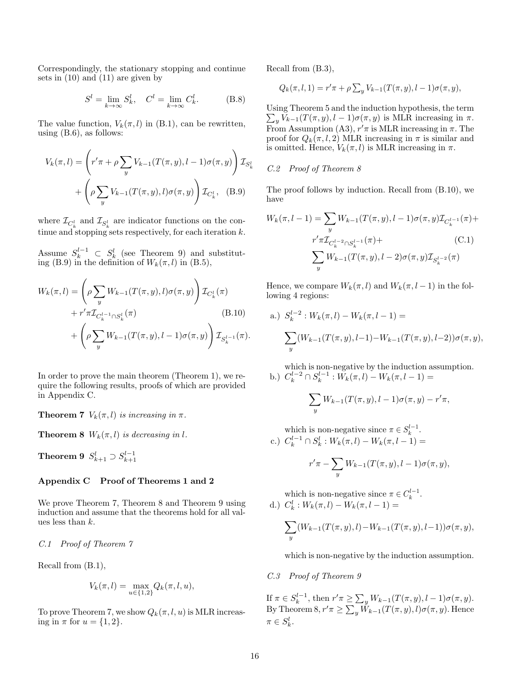Correspondingly, the stationary stopping and continue sets in (10) and (11) are given by

$$
S^{l} = \lim_{k \to \infty} S^{l}_{k}, \quad C^{l} = \lim_{k \to \infty} C^{l}_{k}.
$$
 (B.8)

The value function,  $V_k(\pi, l)$  in (B.1), can be rewritten, using  $(B.6)$ , as follows:

$$
V_k(\pi, l) = \left(r'\pi + \rho \sum_y V_{k-1}(T(\pi, y), l-1)\sigma(\pi, y)\right) \mathcal{I}_{S_k^l}
$$

$$
+ \left(\rho \sum_y V_{k-1}(T(\pi, y), l)\sigma(\pi, y)\right) \mathcal{I}_{C_k^l}, \quad (B.9)
$$

where  $\mathcal{I}_{C_k^l}$  and  $\mathcal{I}_{S_k^l}$  are indicator functions on the continue and stopping sets respectively, for each iteration  $k$ .

Assume  $S_k^{l-1} \subset S_k^l$  (see Theorem 9) and substituting (B.9) in the definition of  $W_k(\pi, l)$  in (B.5),

$$
W_k(\pi, l) = \left(\rho \sum_y W_{k-1}(T(\pi, y), l)\sigma(\pi, y)\right) \mathcal{I}_{C_k^l}(\pi) + r'\pi \mathcal{I}_{C_k^{l-1} \cap S_k^l}(\pi) \qquad (B.10) + \left(\rho \sum_y W_{k-1}(T(\pi, y), l-1)\sigma(\pi, y)\right) \mathcal{I}_{S_k^{l-1}}(\pi).
$$

In order to prove the main theorem (Theorem 1), we require the following results, proofs of which are provided in Appendix C.

**Theorem 7**  $V_k(\pi, l)$  is increasing in  $\pi$ .

**Theorem 8**  $W_k(\pi, l)$  is decreasing in l.

Theorem 9  $S_{k+1}^l \supset S_{k+1}^{l-1}$ 

#### Appendix C Proof of Theorems 1 and 2

We prove Theorem 7, Theorem 8 and Theorem 9 using induction and assume that the theorems hold for all values less than k.

#### C.1 Proof of Theorem 7

Recall from (B.1),

$$
V_k(\pi, l) = \max_{u \in \{1, 2\}} Q_k(\pi, l, u),
$$

To prove Theorem 7, we show  $Q_k(\pi, l, u)$  is MLR increasing in  $\pi$  for  $u = \{1, 2\}.$ 

Recall from (B.3),

$$
Q_k(\pi, l, 1) = r'\pi + \rho \sum_{y} V_{k-1}(T(\pi, y), l-1)\sigma(\pi, y),
$$

Using Theorem 5 and the induction hypothesis, the term  $\sum_{y} V_{k-1}(T(\pi, y), l-1)\sigma(\pi, y)$  is MLR increasing in  $\pi$ . From Assumption (A3),  $r'$   $\pi$  is MLR increasing in  $\pi$ . The proof for  $Q_k(\pi, l, 2)$  MLR increasing in  $\pi$  is similar and is omitted. Hence,  $V_k(\pi, l)$  is MLR increasing in  $\pi$ .

## C.2 Proof of Theorem 8

The proof follows by induction. Recall from (B.10), we have

$$
W_k(\pi, l-1) = \sum_y W_{k-1}(T(\pi, y), l-1)\sigma(\pi, y)\mathcal{I}_{C_k^{l-1}}(\pi) +
$$
  

$$
r'\pi \mathcal{I}_{C_k^{l-2}\cap S_k^{l-1}}(\pi) +
$$
  

$$
\sum_y W_{k-1}(T(\pi, y), l-2)\sigma(\pi, y)\mathcal{I}_{S_k^{l-2}}(\pi)
$$
 (C.1)

Hence, we compare  $W_k(\pi, l)$  and  $W_k(\pi, l-1)$  in the following 4 regions:

a.) 
$$
S_k^{l-2}
$$
:  $W_k(\pi, l) - W_k(\pi, l-1) =$   

$$
\sum_y (W_{k-1}(T(\pi, y), l-1) - W_{k-1}(T(\pi, y), l-2))\sigma(\pi, y),
$$

which is non-negative by the induction assumption. b.)  $C_k^{l-2} \cap S_k^{l-1} : W_k(\pi, l) - W_k(\pi, l-1) =$ 

$$
\sum_{y} W_{k-1}(T(\pi, y), l-1)\sigma(\pi, y) - r'\pi,
$$

which is non-negative since  $\pi \in S_k^{l-1}$ . c.)  $C_k^{l-1} \cap S_k^l : W_k(\pi, l) - W_k(\pi, l-1) =$ 

$$
r'\pi - \sum_{y} W_{k-1}(T(\pi, y), l-1)\sigma(\pi, y),
$$

which is non-negative since  $\pi \in C_k^{l-1}$ . d.)  $C_k^l: W_k(\pi, l) - W_k(\pi, l-1) =$ 

$$
\sum_{y} (W_{k-1}(T(\pi, y), l) - W_{k-1}(T(\pi, y), l-1)) \sigma(\pi, y),
$$

which is non-negative by the induction assumption.

#### C.3 Proof of Theorem 9

If  $\pi \in S_k^{l-1}$ , then  $r' \pi \ge \sum_y W_{k-1}(T(\pi, y), l-1) \sigma(\pi, y)$ . By Theorem 8,  $r' \pi \geq \sum_{y} W_{k-1}(T(\pi, y), l) \sigma(\pi, y)$ . Hence  $\pi \in S_k^l$ .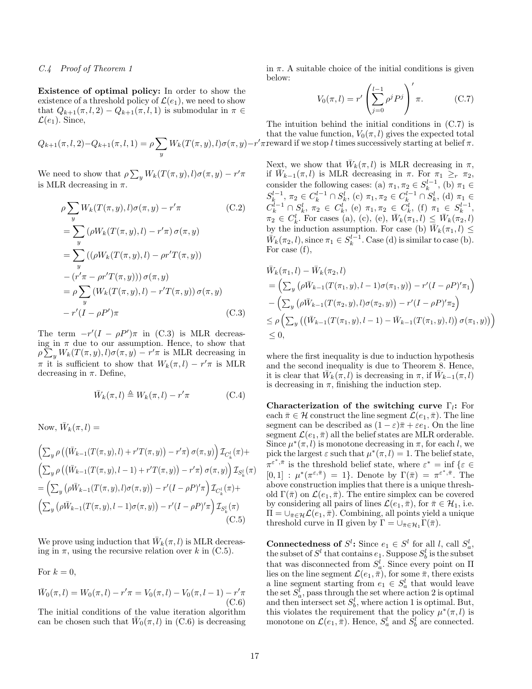## C.4 Proof of Theorem 1

Existence of optimal policy: In order to show the existence of a threshold policy of  $\mathcal{L}(e_1)$ , we need to show that  $Q_{k+1}(\pi, l, 2) - Q_{k+1}(\pi, l, 1)$  is submodular in  $\pi \in$  $\mathcal{L}(e_1)$ . Since,

$$
Q_{k+1}(\pi, l, 2) - Q_{k+1}(\pi, l, 1) = \rho \sum_{y} W_k(T(\pi, y), l) \sigma(\pi, y) - r
$$

We need to show that  $\rho \sum_{y} W_k(T(\pi, y), l) \sigma(\pi, y) - r' \pi$ is MLR decreasing in  $\pi$ .

$$
\rho \sum_{y} W_k(T(\pi, y), l) \sigma(\pi, y) - r'\pi
$$
\n(C.2)  
\n
$$
= \sum_{y} (\rho W_k(T(\pi, y), l) - r'\pi) \sigma(\pi, y)
$$
\n
$$
= \sum_{y} ((\rho W_k(T(\pi, y), l) - \rho r'T(\pi, y)))
$$
\n
$$
- (r'\pi - \rho r'T(\pi, y))) \sigma(\pi, y)
$$
\n
$$
= \rho \sum_{y} (W_k(T(\pi, y), l) - r'T(\pi, y)) \sigma(\pi, y)
$$
\n
$$
- r'(I - \rho P')\pi
$$
\n(C.3)

The term  $-r'(I - \rho P')\pi$  in (C.3) is MLR decreasing in  $\pi$  due to our assumption. Hence, to show that  $\rho \sum_{y} W_k(T(\pi, y), l) \sigma(\pi, y) - r' \pi$  is MLR decreasing in  $\pi$  it is sufficient to show that  $W_k(\pi, l) - r'\pi$  is MLR decreasing in  $\pi$ . Define,

$$
\bar{W}_k(\pi, l) \triangleq W_k(\pi, l) - r'\pi \tag{C.4}
$$

Now,  $\bar{W}_k(\pi, l) =$ 

$$
\left(\sum_{y} \rho\left((\bar{W}_{k-1}(T(\pi, y), l) + r'T(\pi, y)) - r'\pi\right)\sigma(\pi, y)\right) \mathcal{I}_{C_k^l}(\pi) +
$$
\n
$$
\left(\sum_{y} \rho\left((\bar{W}_{k-1}(T(\pi, y), l-1) + r'T(\pi, y)) - r'\pi\right)\sigma(\pi, y)\right) \mathcal{I}_{S_k^l}(\pi)
$$
\n
$$
= \left(\sum_{y} \left(\rho \bar{W}_{k-1}(T(\pi, y), l)\sigma(\pi, y)\right) - r'(I - \rho P)'\pi\right) \mathcal{I}_{C_k^l}(\pi) +
$$
\n
$$
\left(\sum_{y} \left(\rho \bar{W}_{k-1}(T(\pi, y), l-1)\sigma(\pi, y)\right) - r'(I - \rho P)'\pi\right) \mathcal{I}_{S_k^l}(\pi)
$$
\n(C.5)

We prove using induction that  $\bar{W}_k(\pi, l)$  is MLR decreasing in  $\pi$ , using the recursive relation over k in (C.5).

For  $k = 0$ ,  $\bar{W}_0(\pi, l) = W_0(\pi, l) - r'\pi = V_0(\pi, l) - V_0(\pi, l - 1) - r'\pi$ (C.6)

The initial conditions of the value iteration algorithm can be chosen such that  $\bar{W}_0(\pi, l)$  in (C.6) is decreasing in  $\pi$ . A suitable choice of the initial conditions is given below:

$$
V_0(\pi, l) = r' \left(\sum_{j=0}^{l-1} \rho^j P^j\right)' \pi.
$$
 (C.7)

 $\pi$  reward if we stop l times successively starting at belief  $\pi$ . The intuition behind the initial conditions in (C.7) is that the value function,  $V_0(\pi, l)$  gives the expected total

Next, we show that  $\overline{W}_k(\pi, l)$  is MLR decreasing in  $\pi$ , if  $\overline{W}_{k-1}(\pi, l)$  is MLR decreasing in  $\pi$ . For  $\pi_1 \geq_r \pi_2$ , consider the following cases: (a)  $\pi_1, \pi_2 \in S_k^{l-1}$ , (b)  $\pi_1 \in$  $S_k^{l-1}$ , π<sub>2</sub> ∈  $C_k^{l-1} ∩ S_k^l$ , (c) π<sub>1</sub>, π<sub>2</sub> ∈  $C_k^{l-1} ∩ S_k^l$ , (d) π<sub>1</sub> ∈  $C_k^{l-1} \cap S_k^l, \pi_2 \in C_k^l, \text{ (e) } \pi_1, \pi_2 \in C_k^l, \text{ (f) } \pi_1 \in S_k^{l-1},$  $\pi_2^{\sigma} \in C_k^l$ . For cases (a), (c), (e),  $\bar{W}_k(\pi_1, l) \leq \bar{W}_k(\pi_2, l)$ by the induction assumption. For case (b)  $\bar{W}_k(\pi_1, l) \leq$  $\overline{W}_k(\pi_2, l)$ , since  $\pi_1 \in S_k^{l-1}$ . Case (d) is similar to case (b). For case (f),

$$
\bar{W}_k(\pi_1, l) - \bar{W}_k(\pi_2, l)
$$
\n
$$
= \left( \sum_y \left( \rho \bar{W}_{k-1}(T(\pi_1, y), l-1) \sigma(\pi_1, y) \right) - r'(I - \rho P)' \pi_1 \right)
$$
\n
$$
- \left( \sum_y \left( \rho \bar{W}_{k-1}(T(\pi_2, y), l) \sigma(\pi_2, y) \right) - r'(I - \rho P)' \pi_2 \right)
$$
\n
$$
\leq \rho \left( \sum_y \left( \left( \bar{W}_{k-1}(T(\pi_1, y), l-1) - \bar{W}_{k-1}(T(\pi_1, y), l) \right) \sigma(\pi_1, y) \right) \right)
$$
\n
$$
\leq 0,
$$

where the first inequality is due to induction hypothesis and the second inequality is due to Theorem 8. Hence, it is clear that  $\bar{W}_k(\pi, l)$  is decreasing in  $\pi$ , if  $\bar{W}_{k-1}(\pi, l)$ is decreasing in  $\pi$ , finishing the induction step.

Characterization of the switching curve  $\Gamma_l$ : For each  $\bar{\pi} \in \mathcal{H}$  construct the line segment  $\mathcal{L}(e_1, \bar{\pi})$ . The line segment can be described as  $(1 - \varepsilon)\overline{\pi} + \varepsilon e_1$ . On the line segment  $\mathcal{L}(e_1, \bar{\pi})$  all the belief states are MLR orderable. Since  $\mu^*(\pi, l)$  is monotone decreasing in  $\pi$ , for each l, we pick the largest  $\varepsilon$  such that  $\mu^*(\pi, l) = 1$ . The belief state,  $\pi^{\varepsilon^*, \bar{\pi}}$  is the threshold belief state, where  $\varepsilon^* = \inf \{\varepsilon \in$  $[0, 1] : \mu^*(\pi^{\varepsilon, \bar{\pi}}) = 1$ . Denote by  $\Gamma(\bar{\pi}) = \pi^{\varepsilon^*, \bar{\pi}}$ . The above construction implies that there is a unique threshold  $\Gamma(\bar{\pi})$  on  $\mathcal{L}(e_1, \bar{\pi})$ . The entire simplex can be covered by considering all pairs of lines  $\mathcal{L}(e_1, \bar{\pi}),$  for  $\bar{\pi} \in \mathcal{H}_1$ , i.e.  $\Pi = \bigcup_{\bar{\pi} \in \mathcal{H}} \mathcal{L}(e_1, \bar{\pi})$ . Combining, all points yield a unique threshold curve in Π given by  $\Gamma = \cup_{\bar{\pi} \in \mathcal{H}_1} \Gamma(\bar{\pi})$ .

**Connectedness of**  $S^l$ : Since  $e_1 \in S^l$  for all  $l$ , call  $S_a^l$ , the subset of  $S^l$  that contains  $e_1$ . Suppose  $S^l_b$  is the subset that was disconnected from  $S_a^l$ . Since every point on  $\Pi$ lies on the line segment  $\mathcal{L}(e_1, \bar{\pi})$ , for some  $\bar{\pi}$ , there exists a line segment starting from  $e_1 \in S_a^l$  that would leave the set  $S_a^l$ , pass through the set where action 2 is optimal and then intersect set  $S_b^l$ , where action 1 is optimal. But, this violates the requirement that the policy  $\mu^*(\pi, l)$  is monotone on  $\mathcal{L}(e_1, \bar{\pi})$ . Hence,  $S_a^l$  and  $S_b^l$  are connected.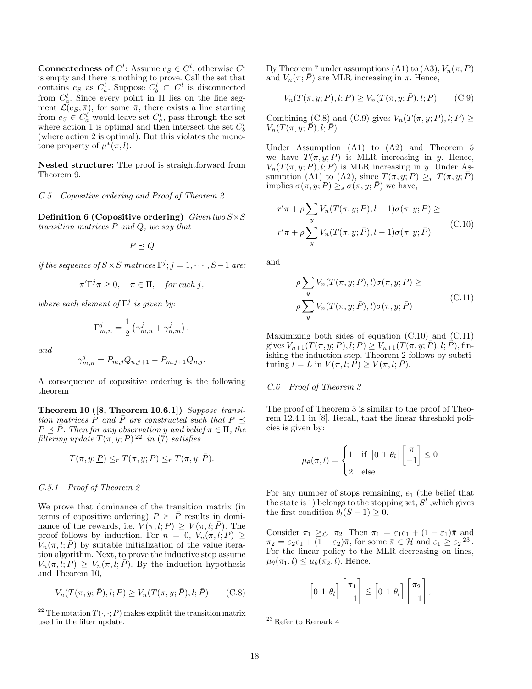**Connectedness of**  $C^l$ : Assume  $e_S \in C^l$ , otherwise  $C^l$ is empty and there is nothing to prove. Call the set that contains  $e_S$  as  $C_a^l$ . Suppose  $C_b^l \subset C^l$  is disconnected from  $C_a^l$ . Since every point in  $\Pi$  lies on the line segment  $\mathcal{L}(e_S, \bar{\pi})$ , for some  $\bar{\pi}$ , there exists a line starting from  $e_S \in C_a^l$  would leave set  $C_a^l$ , pass through the set where action 1 is optimal and then intersect the set  $C_b^l$ (where action 2 is optimal). But this violates the monotone property of  $\mu^*(\pi, l)$ .

Nested structure: The proof is straightforward from Theorem 9.

C.5 Copositive ordering and Proof of Theorem 2

Definition 6 (Copositive ordering) Given two  $S \times S$ transition matrices  $P$  and  $Q$ , we say that

 $P \prec Q$ 

if the sequence of  $S \times S$  matrices  $\Gamma^j$ ;  $j = 1, \cdots, S-1$  are:

$$
\pi'\Gamma^j\pi \ge 0, \quad \pi \in \Pi, \quad \text{for each } j,
$$

where each element of  $\Gamma^j$  is given by:

$$
\Gamma_{m,n}^j = \frac{1}{2} \left( \gamma_{m,n}^j + \gamma_{n,m}^j \right),
$$

and

$$
\gamma_{m,n}^j = P_{m,j} Q_{n,j+1} - P_{m,j+1} Q_{n,j}.
$$

A consequence of copositive ordering is the following theorem

Theorem 10 ([8, Theorem 10.6.1]) Suppose transition matrices P and P are constructed such that  $P \preceq$  $P \preceq \bar{P}$ . Then for any observation y and belief  $\pi \in \Pi$ , the filtering update  $T(\pi, y; P)^{22}$  $T(\pi, y; P)^{22}$  $T(\pi, y; P)^{22}$  in (7) satisfies

$$
T(\pi, y; \underline{P}) \leq_r T(\pi, y; P) \leq_r T(\pi, y; \overline{P}).
$$

## C.5.1 Proof of Theorem 2

We prove that dominance of the transition matrix (in terms of copositive ordering)  $P \succeq \overline{P}$  results in dominance of the rewards, i.e.  $V(\pi, l; P) \geq V(\pi, l; \overline{P})$ . The proof follows by induction. For  $n = 0$ ,  $V_n(\pi, l; P) \ge$  $V_n(\pi, l; \overline{P})$  by suitable initialization of the value iteration algorithm. Next, to prove the inductive step assume  $V_n(\pi, l; P) \geq V_n(\pi, l; \overline{P})$ . By the induction hypothesis and Theorem 10,

$$
V_n(T(\pi, y; \bar{P}), l; P) \ge V_n(T(\pi, y; \bar{P}), l; \bar{P})
$$
 (C.8)

By Theorem 7 under assumptions (A1) to (A3),  $V_n(\pi; P)$ and  $V_n(\pi; \overline{P})$  are MLR increasing in  $\pi$ . Hence,

$$
V_n(T(\pi, y; P), l; P) \ge V_n(T(\pi, y; \bar{P}), l; P)
$$
 (C.9)

Combining (C.8) and (C.9) gives  $V_n(T(\pi, y; P), l; P) \geq$  $V_n(T(\pi, y; \overline{P}), l; \overline{P}).$ 

Under Assumption (A1) to (A2) and Theorem 5 we have  $T(\pi, y; P)$  is MLR increasing in y. Hence,  $V_n(T(\pi, y; P), l; P)$  is MLR increasing in y. Under Assumption (A1) to (A2), since  $T(\pi, y; P) \geq_r T(\pi, y; P)$ implies  $\sigma(\pi, y; P) \geq_s \sigma(\pi, y; \overline{P})$  we have,

$$
r'\pi + \rho \sum_{y} V_n(T(\pi, y; P), l - 1)\sigma(\pi, y; P) \ge
$$
  

$$
r'\pi + \rho \sum_{y} V_n(T(\pi, y; \bar{P}), l - 1)\sigma(\pi, y; \bar{P})
$$
 (C.10)

and

$$
\rho \sum_{y} V_n(T(\pi, y; P), l) \sigma(\pi, y; P) \ge
$$
\n
$$
\rho \sum_{y} V_n(T(\pi, y; \bar{P}), l) \sigma(\pi, y; \bar{P})
$$
\n(C.11)

Maximizing both sides of equation (C.10) and (C.11) gives  $V_{n+1}(T(\pi, y; P), l; P) \geq V_{n+1}(T(\pi, y; \overline{P}), l; \overline{P}),$  finishing the induction step. Theorem 2 follows by substituting  $l = L$  in  $V(\pi, l; P) > V(\pi, l; \overline{P}).$ 

## C.6 Proof of Theorem 3

The proof of Theorem 3 is similar to the proof of Theorem 12.4.1 in [8]. Recall, that the linear threshold policies is given by:

$$
\mu_{\theta}(\pi, l) = \begin{cases} 1 & \text{if } \left[0 \ 1 \ \theta_l\right] \begin{bmatrix} \pi \\ -1 \end{bmatrix} \leq 0 \\ 2 & \text{else.} \end{cases}
$$

For any number of stops remaining,  $e_1$  (the belief that the state is 1) belongs to the stopping set,  $S<sup>l</sup>$  , which gives the first condition  $\theta_l(S-1) \geq 0$ .

Consider  $\pi_1 \geq_{\mathcal{L}_1} \pi_2$ . Then  $\pi_1 = \varepsilon_1 e_1 + (1 - \varepsilon_1)\bar{\pi}$  and  $\pi_2 = \varepsilon_2 e_1 + (1 - \varepsilon_2)\overline{\pi}$ , for some  $\overline{\pi} \in \mathcal{H}$  and  $\varepsilon_1 \geq \varepsilon_2^{-23}$  $\varepsilon_1 \geq \varepsilon_2^{-23}$  $\varepsilon_1 \geq \varepsilon_2^{-23}$ . For the linear policy to the MLR decreasing on lines,  $\mu_{\theta}(\pi_1, l) \leq \mu_{\theta}(\pi_2, l)$ . Hence,

$$
\left[0 \ 1 \ \theta_l\right] \begin{bmatrix} \pi_1 \\ -1 \end{bmatrix} \leq \left[0 \ 1 \ \theta_l\right] \begin{bmatrix} \pi_2 \\ -1 \end{bmatrix},
$$

<span id="page-17-0"></span><sup>&</sup>lt;sup>22</sup> The notation  $T(\cdot, \cdot; P)$  makes explicit the transition matrix used in the filter update.

<span id="page-17-1"></span> $^{\rm 23}$  Refer to Remark  $4$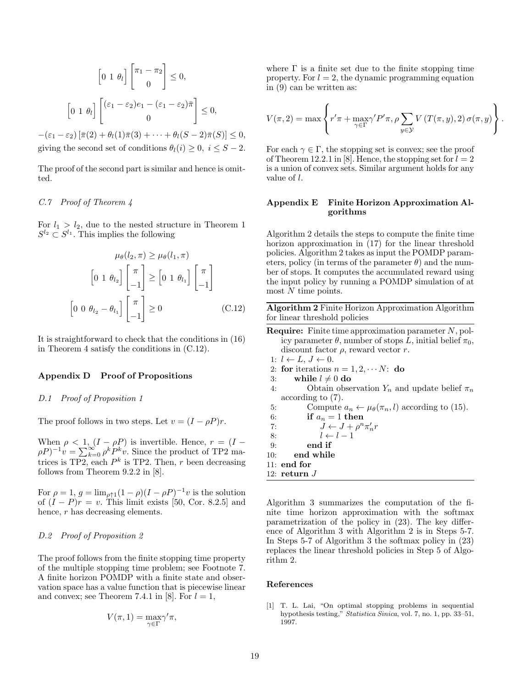$$
\begin{bmatrix} 0 & 1 & \theta_l \end{bmatrix} \begin{bmatrix} \pi_1 - \pi_2 \\ 0 \end{bmatrix} \le 0,
$$

$$
\begin{bmatrix} 0 & 1 & \theta_l \end{bmatrix} \begin{bmatrix} (\varepsilon_1 - \varepsilon_2)e_1 - (\varepsilon_1 - \varepsilon_2)\bar{\pi} \\ 0 \end{bmatrix} \le 0,
$$

 $-(\varepsilon_1 - \varepsilon_2) [\bar{\pi}(2) + \theta_l(1)\bar{\pi}(3) + \cdots + \theta_l(S-2)\bar{\pi}(S)] \leq 0,$ giving the second set of conditions  $\theta_l(i) \geq 0, i \leq S-2$ .

The proof of the second part is similar and hence is omitted.

## C.7 Proof of Theorem 4

For  $l_1 > l_2$ , due to the nested structure in Theorem 1  $S^{l_2} \subset S^{l_1}$ . This implies the following

$$
\mu_{\theta}(l_2, \pi) \geq \mu_{\theta}(l_1, \pi)
$$

$$
\left[0 \quad 1 \quad \theta_{l_2}\right] \begin{bmatrix} \pi \\ -1 \end{bmatrix} \geq \left[0 \quad 1 \quad \theta_{l_1}\right] \begin{bmatrix} \pi \\ -1 \end{bmatrix}
$$

$$
\left[0 \quad 0 \quad \theta_{l_2} - \theta_{l_1}\right] \begin{bmatrix} \pi \\ -1 \end{bmatrix} \geq 0
$$
(C.12)

It is straightforward to check that the conditions in (16) in Theorem 4 satisfy the conditions in (C.12).

#### Appendix D Proof of Propositions

#### D.1 Proof of Proposition 1

The proof follows in two steps. Let  $v = (I - \rho P)r$ .

When  $\rho < 1$ ,  $(I - \rho P)$  is invertible. Hence,  $r = (I (\rho P)^{-1}v = \sum_{k=0}^{\infty} \rho^k P^k v$ . Since the product of TP2 matrices is TP2, each  $P^k$  is TP2. Then, r been decreasing follows from Theorem 9.2.2 in [8].

For  $\rho = 1$ ,  $g = \lim_{\rho \uparrow 1} (1 - \rho)(I - \rho P)^{-1}v$  is the solution of  $(I - P)r = v$ . This limit exists [50, Cor. 8.2.5] and hence, r has decreasing elements.

## D.2 Proof of Proposition 2

The proof follows from the finite stopping time property of the multiple stopping time problem; see Footnote 7. A finite horizon POMDP with a finite state and observation space has a value function that is piecewise linear and convex; see Theorem 7.4.1 in [8]. For  $l = 1$ ,

$$
V(\pi, 1) = \max_{\gamma \in \Gamma} \gamma' \pi,
$$

where  $\Gamma$  is a finite set due to the finite stopping time property. For  $l = 2$ , the dynamic programming equation in (9) can be written as:

$$
V(\pi, 2) = \max \left\{ r' \pi + \max_{\gamma \in \Gamma} \gamma' P' \pi, \rho \sum_{y \in \mathcal{Y}} V(T(\pi, y), 2) \sigma(\pi, y) \right\}.
$$

For each  $\gamma \in \Gamma$ , the stopping set is convex; see the proof of Theorem 12.2.1 in [8]. Hence, the stopping set for  $l = 2$ is a union of convex sets. Similar argument holds for any value of l.

#### Appendix E Finite Horizon Approximation Algorithms

Algorithm 2 details the steps to compute the finite time horizon approximation in (17) for the linear threshold policies. Algorithm 2 takes as input the POMDP parameters, policy (in terms of the parameter  $\theta$ ) and the number of stops. It computes the accumulated reward using the input policy by running a POMDP simulation of at most N time points.

Algorithm 2 Finite Horizon Approximation Algorithm for linear threshold policies

**Require:** Finite time approximation parameter  $N$ , policy parameter  $\theta$ , number of stops L, initial belief  $\pi_0$ , discount factor  $\rho$ , reward vector r.

$$
1: l \leftarrow L, J \leftarrow 0.
$$

2: for iterations  $n = 1, 2, \cdots N$ : do

```
3: while l \neq 0 do
```
4: Obtain observation  $Y_n$  and update belief  $\pi_n$ according to (7).

5: Compute 
$$
a_n \leftarrow \mu_\theta(\pi_n, l)
$$
 according to (15).

6: if 
$$
a_n = 1
$$
 then

7: 
$$
J \leftarrow J + \rho^n \pi_n' r
$$

8: 
$$
l \leftarrow l - 1
$$

 $9:$  end if

10: end while 11: end for

$$
11: end for12: return J
$$

Algorithm 3 summarizes the computation of the finite time horizon approximation with the softmax parametrization of the policy in (23). The key difference of Algorithm 3 with Algorithm 2 is in Steps 5-7. In Steps 5-7 of Algorithm 3 the softmax policy in (23) replaces the linear threshold policies in Step 5 of Algorithm 2.

#### References

[1] T. L. Lai, "On optimal stopping problems in sequential hypothesis testing," Statistica Sinica, vol. 7, no. 1, pp. 33–51, 1997.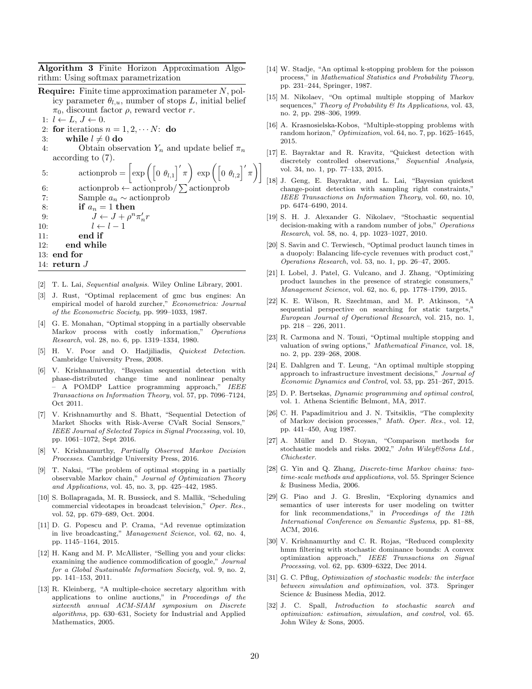Algorithm 3 Finite Horizon Approximation Algorithm: Using softmax parametrization

- Require: Finite time approximation parameter N, policy parameter  $\theta_{l,u}$ , number of stops L, initial belief  $\pi_0$ , discount factor  $\rho$ , reward vector r.
- 1:  $l \leftarrow L, J \leftarrow 0$ .
- 2: for iterations  $n = 1, 2, \cdots N$ : do
- 3: while  $l \neq 0$  do
- 4: Obtain observation  $Y_n$  and update belief  $\pi_n$ according to (7).
- 5: actionprob =  $\left[\exp\left(\left[0 \theta_{l,1}\right]'\pi\right) \exp\left(\left[0 \theta_{l,2}\right]'\pi\right)\right]$ 6: actionprob  $\leftarrow$  actionprob $/\sum$  actionprob 7: Sample  $a_n$  ∼ actionprob 8: if  $a_n = 1$  then
- 9:  $J \leftarrow J + \rho^n \pi'_n r$
- 10:  $l \leftarrow l 1$
- 11: end if
- 12: end while
- 13: end for
- 14:  $return J$
- [2] T. L. Lai, Sequential analysis. Wiley Online Library, 2001.
- [3] J. Rust, "Optimal replacement of gmc bus engines: An empirical model of harold zurcher," Econometrica: Journal of the Econometric Society, pp. 999–1033, 1987.
- [4] G. E. Monahan, "Optimal stopping in a partially observable Markov process with costly information," Operations Research, vol. 28, no. 6, pp. 1319–1334, 1980.
- [5] H. V. Poor and O. Hadjiliadis, *Quickest Detection*. Cambridge University Press, 2008.
- [6] V. Krishnamurthy, "Bayesian sequential detection with phase-distributed change time and nonlinear penalty – A POMDP Lattice programming approach," IEEE Transactions on Information Theory, vol. 57, pp. 7096–7124, Oct 2011.
- [7] V. Krishnamurthy and S. Bhatt, "Sequential Detection of Market Shocks with Risk-Averse CVaR Social Sensors," IEEE Journal of Selected Topics in Signal Processing, vol. 10, pp. 1061–1072, Sept 2016.
- [8] V. Krishnamurthy, Partially Observed Markov Decision Processes. Cambridge University Press, 2016.
- [9] T. Nakai, "The problem of optimal stopping in a partially observable Markov chain," Journal of Optimization Theory and Applications, vol. 45, no. 3, pp. 425–442, 1985.
- [10] S. Bollapragada, M. R. Bussieck, and S. Mallik, "Scheduling commercial videotapes in broadcast television," Oper. Res., vol. 52, pp. 679–689, Oct. 2004.
- [11] D. G. Popescu and P. Crama, "Ad revenue optimization in live broadcasting," Management Science, vol. 62, no. 4, pp. 1145–1164, 2015.
- [12] H. Kang and M. P. McAllister, "Selling you and your clicks: examining the audience commodification of google," Journal for a Global Sustainable Information Society, vol. 9, no. 2, pp. 141–153, 2011.
- [13] R. Kleinberg, "A multiple-choice secretary algorithm with applications to online auctions," in Proceedings of the sixteenth annual ACM-SIAM symposium on Discrete algorithms, pp. 630–631, Society for Industrial and Applied Mathematics, 2005.
- [14] W. Stadje, "An optimal k-stopping problem for the poisson process," in Mathematical Statistics and Probability Theory, pp. 231–244, Springer, 1987.
- [15] M. Nikolaev, "On optimal multiple stopping of Markov sequences," Theory of Probability & Its Applications, vol. 43, no. 2, pp. 298–306, 1999.
- [16] A. Krasnosielska-Kobos, "Multiple-stopping problems with random horizon," Optimization, vol. 64, no. 7, pp. 1625–1645, 2015.
- [17] E. Bayraktar and R. Kravitz, "Quickest detection with discretely controlled observations," Sequential Analysis, vol. 34, no. 1, pp. 77–133, 2015.
- [18] J. Geng, E. Bayraktar, and L. Lai, "Bayesian quickest change-point detection with sampling right constraints," IEEE Transactions on Information Theory, vol. 60, no. 10, pp. 6474–6490, 2014.
- [19] S. H. J. Alexander G. Nikolaev, "Stochastic sequential decision-making with a random number of jobs," Operations Research, vol. 58, no. 4, pp. 1023–1027, 2010.
- [20] S. Savin and C. Terwiesch, "Optimal product launch times in a duopoly: Balancing life-cycle revenues with product cost," Operations Research, vol. 53, no. 1, pp. 26–47, 2005.
- [21] I. Lobel, J. Patel, G. Vulcano, and J. Zhang, "Optimizing product launches in the presence of strategic consumers," Management Science, vol. 62, no. 6, pp. 1778–1799, 2015.
- [22] K. E. Wilson, R. Szechtman, and M. P. Atkinson, "A sequential perspective on searching for static targets," European Journal of Operational Research, vol. 215, no. 1, pp. 218 – 226, 2011.
- [23] R. Carmona and N. Touzi, "Optimal multiple stopping and valuation of swing options," Mathematical Finance, vol. 18, no. 2, pp. 239–268, 2008.
- [24] E. Dahlgren and T. Leung, "An optimal multiple stopping approach to infrastructure investment decisions," Journal of Economic Dynamics and Control, vol. 53, pp. 251–267, 2015.
- [25] D. P. Bertsekas, Dynamic programming and optimal control, vol. 1. Athena Scientific Belmont, MA, 2017.
- [26] C. H. Papadimitriou and J. N. Tsitsiklis, "The complexity of Markov decision processes," Math. Oper. Res., vol. 12, pp. 441–450, Aug 1987.
- [27] A. Müller and D. Stoyan, "Comparison methods for stochastic models and risks. 2002," John Wiley&Sons Ltd., Chichester.
- [28] G. Yin and Q. Zhang, Discrete-time Markov chains: twotime-scale methods and applications, vol. 55. Springer Science & Business Media, 2006.
- [29] G. Piao and J. G. Breslin, "Exploring dynamics and semantics of user interests for user modeling on twitter for link recommendations," in Proceedings of the 12th International Conference on Semantic Systems, pp. 81–88, ACM, 2016.
- [30] V. Krishnamurthy and C. R. Rojas, "Reduced complexity hmm filtering with stochastic dominance bounds: A convex optimization approach," IEEE Transactions on Signal Processing, vol. 62, pp. 6309–6322, Dec 2014.
- [31] G. C. Pflug, Optimization of stochastic models: the interface between simulation and optimization, vol. 373. Springer Science & Business Media, 2012.
- [32] J. C. Spall, Introduction to stochastic search and optimization: estimation, simulation, and control, vol. 65. John Wiley & Sons, 2005.